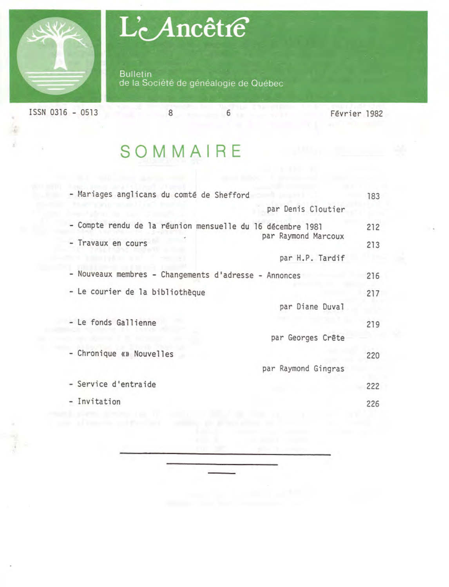

# L'Ancêtre

**Bulletin** de la Société de généalogie de Québec

1SSN 0316 - 0513 8 6 Février 1982

g

 $\sim$ 

### **SOMMAIRE**

| - Mariages anglicans du comté de Shefford                  | 183 |
|------------------------------------------------------------|-----|
| par Denis Cloutier                                         |     |
| - Compte rendu de la réunion mensuelle du 16 décembre 1981 | 212 |
| par Raymond Marcoux<br>- Travaux en cours                  | 213 |
| par H.P. Tardif                                            |     |
| - Nouveaux membres - Changements d'adresse - Annonces      | 216 |
| - Le courier de la bibliothèque                            | 217 |
| par Diane Duval                                            |     |
| - Le fonds Gallienne                                       | 219 |
| par Georges Crête                                          |     |
| - Chronique «» Nouvelles                                   | 220 |
| par Raymond Gingras                                        |     |
| - Service d'entraide                                       | 222 |
| - Invitation                                               | 226 |
|                                                            |     |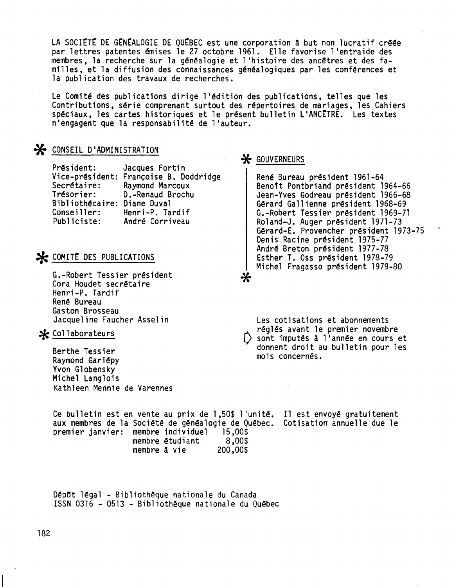LA SOCIETE DE GENEALOGIE DE QUEBEC est une corporation à but non lucratif créée par lettres patentes émises le 27 octobre 1961. Elle favorise l'entraide des membres, la recherche sur la généalogie et l 'histoire des ancêtres et des familles, et la diffusion des connaissances généalogiques par les conférences et la publication des travaux de recherches.

Le Comité des publications dirige l'édition des publications. telles que les Contributions. série comprenant surtout des répertoires de mariages, les Cahiers spéciaux, les cartes historiques et le présent bulletin L'ANCETRE. Les textes n'engagent que la responsabilité de l'auteur.

#### ~ CONSEIL D'ADMINISTRATION

Président: Vice-président: Françoise B. Doddridge Secrétaire: Trésorier: Bibliothécaire: Diane Duval Conseiller: Publiciste: Jacques Fortin Raymond Marcoux D.-Renaud Brochu Henri-P. Tardif André Corriveau

#### $\mathcal{H}$  comite des publications

G.-Robert Tessier président Cora Houdet secrétaire Henri-P. Tardif René Bureau Gaston Brosseau Jacqueline Faucher Asselin

#### $*$  Collaborateurs

Berthe Tessier Raymond Gariépy Yvon G10bensky Michel Langlois Kathleen Mennie de Varennes

# \* GOUVERNEURS

René Bureau président 1961-64 Benott Pontbriand président 1964-66 Jean-Yves Godreau président 1966-68 Gérard Ga11ienne président 1968-69 G.-Robert Tessier président 1969-71 Ro1and-J. Auger président 1971-73 Gérard-E. Provencher président 1973-75 Denis Racine président 1975-77 André Breton président 1977-78 Esther T. Oss président 1978-79 Michel Fragasso président 1979-80 \*

Les cotisations et abonnements réglés avant le premier novembre<br>() sont imputés à l'année en cours et donnent droit au bulletin pour les mois concernés.

Ce bulletin est en vente au prix de 1,50\$ l'unité. Il est envoyé gratuitement aux membres de la Société de généalogie de Québec. Cotisation annuelle due le premier janvier: membre individuel 15,00\$<br>membre étudiant 8,00\$<br>membre à vie 200,00\$ membre à vie

DépOt légal - Bibliothèque nationale du Canada ISSN0316 - <sup>0513</sup> - Bibliothèque nationale du Québec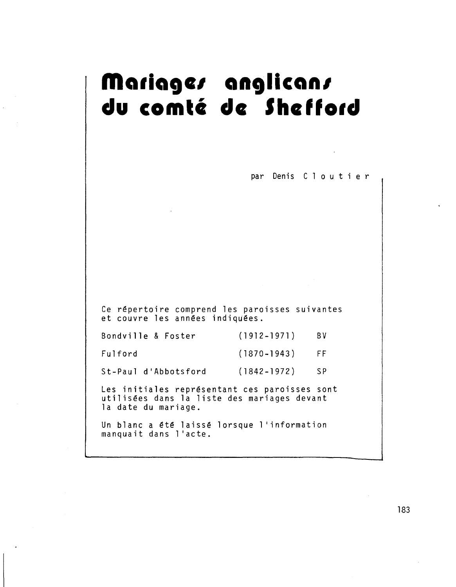### Mariage*r* anglican.<br>du comté de Sheff du comté de Shefford

par Denis C 1 0 u t i e r Ce répertoire comprend les paroisses suivant et couvre les années indiqué Bondvi11e & Foster (1912-1971) (1870-1943) Fu1ford FF BV St-Pau1 d'Abbotsford (1842-1972) SP Les initiales représentant ces paroisses sont utilisées dans la liste des mariages devant la date du mariage. Un blanc a été laissé lorsque l'information manquait dans l'acte.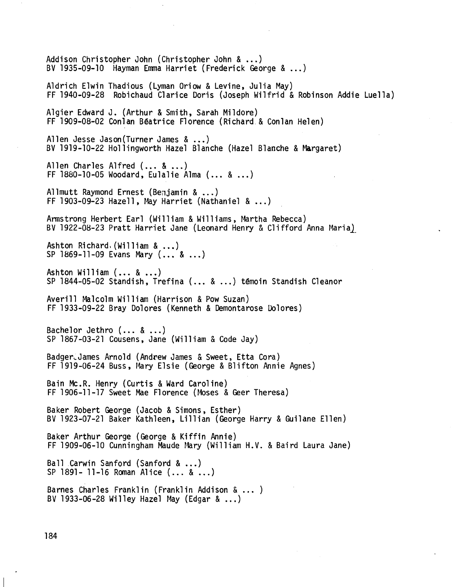Addison Christopher John (Christopher John & ...) BV 1935-09-10 Hayman Emma Harriet (Frederick George & ...) Aldrich E1win Thadious (Lyman Oriow & Levine, Julia May) FF 1940-09-28 Robichaud Clarice Doris (Joseph Wi1frid & Robinson Addie Lue11a) Algier Edward J. (Arthur & Smith, Sarah Mildore) FF 1909-08-02 Con1anBéatrice Florence (Richard. & Con1anHelen) Allen Jesse Jason(Turner James & ...) BV1919-10-22 Ho11ingworth Hazel Blanche (Hazel Blanche & Margaret) Allen Charles Alfred (... & ...) FF 1880-10-05 Woodard, Eulalie Alma (... & ...) Allmutt Raymond Ernest (Benjamin & ...) FF 1903-09-23 Hazell, May Harriet (Nathaniel  $\&...$ ) Armstrong Herbert Earl (William & Williams, Martha Rebecca) BV 1922-08-23 Pratt Harriet Jane (Leonard Henry & Clifford Anna Maria) Ashton Richard, (William & ...) SP 1869-11-09 Evans Mary (... & ...) Ashton William (... & ...) SP 1844-05-02 Standish, Trefina (... & ...) témoin Standish C1eanor Averill Malcolm William (Harrison & Pow Suzan) FF 1933-09-22 Bray Dolores (Kenneth & Demontarose Dolores) Bachelor Jethro  $(... 8 ...)$ SP 1867-03-21 Cousens, Jane (William & Code Jay) Badger\_James Arnold (Andrew James & Sweet, Etta Cora) FF 1919-06-24 Buss, Mary Elsie (George & B1ifton Annie Agnes) Bain Mc.R. Henry (Curtis & Ward Caroline) FF 1906-11-17 Sweet Mae Florence (Moses & Geer Theresa) Baker Robert George (Jacob & Simons, Esther) BV 1923-07-21 Baker Kathleen, Li11ian (George Harry & Gui1ane Ellen) Baker Arthur George (George & Kiffin Annie) FF 1909-06-10 Cunningham Maude Mary (William H.V. & Baird Laura Jane) Ball Carwin Sanford (Sanford & ...) SP 1891- 11-16 RomanAlice (... & ...) Barnes Charles Franklin (Franklin Addison & ... ) BV 1933-06-28 Wi11ey Hazel May (Edgar & ...)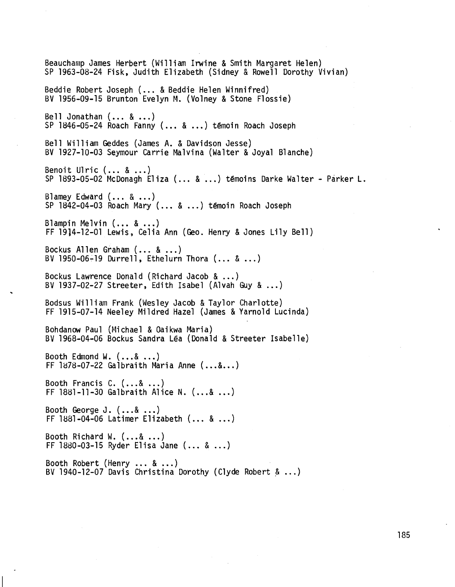Beauchamp James Herbert (William Irwine & Smith Margaret Helen) SP 1963-08-24 Fisk, Judith Elizabeth (Sidney & Rowell Dorothy Vivian) Beddie Robert Joseph (... & Beddie Helen Winnifred) BV 1956-09-15 Brunton Evelyn M. (Volney & Stone Flossie) Bell Jonathan (... & ...) SP 1846-05-24 Roach Fanny (... & ...) temoin Roach Joseph Bell William Geddes (James A. & Davidson Jesse) BV 1927-10-03 Seymour Carrie Malvina (Walter & Joyal Blanche) Benoit Ulric (... & ...) SP 1893-05-02 McDonagh Eliza (... & ...) témoins Darke Walter - Parker L. Blamey Edward (... & ...) SP 1842-04-03 Roach Mary (... & ...) témoin Roach Joseph Blampin Melvin (... & ...) FF 1914-12-01 Lewis, Celia Ann (Geo. Henry & Jones Lily Bell) Bockus Allen Graham (... & ...) BV 1950-06~19 Durrell, Ethelurn Thora (... & ...) Bockus Lawrence Donald (Richard Jacob & ...) BV 1937-02-27 Streeter, Edith Isabel (Alvah Guy & ...) Bodsus William Frank (Wesley Jacob & Taylor Charlotte) FF 1915-07-14 Neeley Mildred Hazel (James & Yarnold Lucinda) Bohdanow Paul (Michael & Oaikwa Maria) BV 1968-04-06 Bockus Sandra Léa (Donald & Streeter Isabelle) Booth Edmond W. (...& ...)<br>FF 1878-07-22 Galbraith Maria Anne (...&...) Booth Francis C. (...& ...) FF 1881-11-30Galbraith Alice N. (...& ...) Booth George J.  $(...&...)$ FF 1881-04-06Latimer Elizabeth (... & ...) Booth Richard W. (...& ...) FF1880-03-15Ryder Elisa Jane (... & ...) Booth Robert (Henry... & ...) BV 1940-12-07 Davis Christina Dorothy (Clyde Robert  $\&...$ )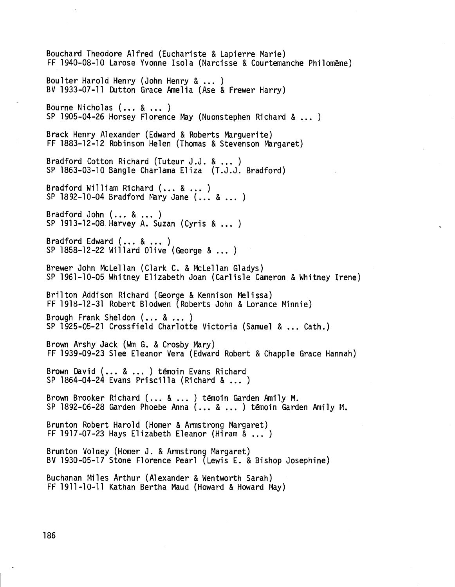Bouchard Theodore Alfred (Euchariste & Lapierre Marie) FF 1940-08-10 Larose Yvonne Isola (Narcisse & Courtemanche Philomène) Bou1ter Harold Henry (John Henry & ... ) BV 1933-07-11 Dutton Grace Amelia (Ase & Frewer Harry) Bourne Nicholas  $( \ldots \& \ldots )$ SP 1905-04-26 Horsey Florence May (Nuonstephen Richard & ... ) Brack Henry Alexander (Edward & Roberts Marguerite) FF 1883-12-12 Robinson Helen (Thomas & Stevenson Margaret) Bradford Cotton Richard (Tuteur J.J. & ... ) SP 1863-03-10 Bangle Charlama Eliza (T.J.J. Bradford) Bradford William Richard (... & ... )  $SP$  1892-10-04 Bradford Mary Jane  $(., . , 8 , . . )$ Bradford John (... & ... ) SP 1913-12-08 Harvey A. Suzan (Cyris & ... ) Bradford Edward (... & ... ) SP 1858-12-22 Wi11ard Olive (George & ... ) Brewer John McLe11an (Clark C. & McLe11an Gladys) SP 1961-10-05 Whitney Elizabeth Joan (Carlisle Cameron & Whitney Irene) Brilton Addison Richard (George & Kennison Melissa) FF 1918-12-31 Robert Blodwen (Roberts John & Lorance Minnie) Brough Frank She1don (... & ... ) SP 1925-05-21 Crossfie1d Charlotte Victoria (Samuel & ... Cath.) Brown Arshy Jack (WmG. & Crosby Mary) FF 1939-09-23 Slee Eleanor Vera (Edward Robert & Chapp1e Grace Hannah) Brown David (... & ... ) témoin Evans Richard SP 1864-04-24 Evans Prisci11a (Richard & ... ) Brown Brooker Richard (... & ... ) témoin Garden Ami1y M. SP 1892-06-28 Garden Phoebe Anna (... & ... ) témoin Garden Ami1y t1. Brunton Robert Harold (Homer & Armstrong Margaret) FF 1917-07-23 Hays Elizabeth Eleanor (Hiram & ... ) Brunton Volney (Homer J. & Armstrong Margaret) BV 1930-05-17 Stone Florence Pearl (Lewis E. & Bishop Josephine) Buchanan Miles Arthur (Alexander & Wentworth Sarah) FF 1911-10-11 Kathan Bertha Maud (Howard & Howard May)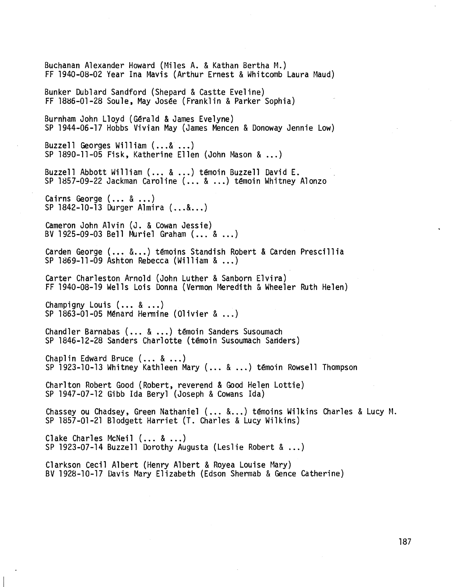Buchanan Alexander Howard (Miles A. & Kathan Bertha M.) FF 1940-08-02 Year Ina Mavis (Arthur Ernest & WhitcombLaura Maud) Bunker Dublard Sandford (Shepard & Castte Eveline) FF 1886-01-28 Soule, MayJosée (Franklin & Parker Sophia) Burnham John Lloyd (Gérald & James Evelyne) SP 1944-06-17 Hobbs Vivian May (James Mencen & Donoway Jennie Low) Buzzell Georges William  $(..., &...)$ SP 1890-11-05 Fisk, Katherine Ellen (John Mason & ...) Buzzell Abbott William (... & ...) témoin Buzzell David E. SP 1857-09-22 Jackman Caroline (... & ...) témoin Whitney Alonzo Cairns George (... & ...) SP 1842-10-13 Durger Almira (...&...) Cameron John Alvin (J. & Cowan Jessie) BV 1925-09-03 Bell Muriel Graham (... & ...) Carden George (... &...) témoins Standish Robert & Carden Prescillia SP 1869-11-09 Ashton Rebecca (William & ...) Carter Charleston Arnold (John Luther & Sanborn Elvira) FF 1940-08-19 Wells Lois Donna (Vermon Meredith & Wheeler Ruth Helen) Champigny Louis (... & ...) SP  $1863-01-05$  Ménard Hermine (Olivier  $\&...$ ) Chandler Barnabas (... & ...) témoin Sanders Susoumach SP 1846-12-28 Sanders Charlotte (temoin Susoumach Sanders) Chaplin Edward Bruce  $( \ldots \& \ldots)$ SP 1923-10-13 Whitney Kathleen Mary (... & ...) témoin Rowsell Thompson Charlton Robert Good (Robert, reverend & Good Helen Lottie) SP 1947-07-12 Gibb Ida Beryl (Joseph & Cowans Ida) Chasseyou Chadsey, Green Nathaniel (... &...) témoins Wilkins Charles & Lucy M. SP 1857-01-21 Blodgett Harriet (T. Charles & Lucy Wilkins) Clake Charles McNeil (... & ...) SP 1923-07-14 Buzzell Dorothy Augusta (Leslie Robert & ...) Clarkson Cecil Albert (Henry Albert & Royea Louise Mary) BV 1928-10-17 Davis Mary Elizabeth (Edson Shermab & Gence Catherine)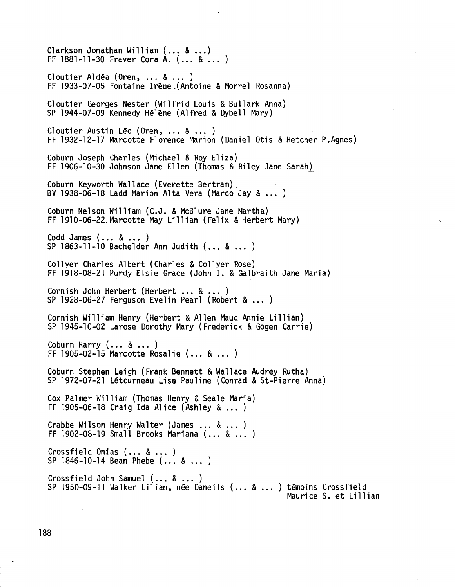$C1$ arkson Jonathan William  $(... 8 ...)$  FF 1881-11-30 Fraver Cora A.  $(... 8 ...)$ C10utier A1déa (Oren, ... & ... ) FF 1933-07-05 Fontaine Irëne.(Antoine & Morre1 Rosanna) C10utier Georges Nester (Wi1frid Louis & Bu11ark Anna) SP 1944-07-09 Kennedy Hélène (Alfred & Uybe11 Mary) C10utier Austin Léo (Oren, ... & ... ) FF 1932-12-17 Marcotte Florence Marion (Daniel Otis & Hetcher P.Agnes) Coburn Joseph Charles (Michael & Roy E1iza) FF 1906-10-30 Johnson Jane Ellen (Thomas & Riley Jane Sarah) Coburn Keyworth Wallace (Everette Bertram) . BV 1938-06-18 Ladd Marion Alta Vera (Marco Jay  $\&...$ ) Coburn Nelson William (C.J. & McB1ure Jane Martha) FF 1910-06-22 Marcotte May Li11ian (Felix & Herbert Mary) Codd James (... & ... ) SP 1863-11-10 Bachelder Ann Judith (... & ... ) Co11yer Charles Albert (Charles & Co11yer Rose) FF 1918-08-21 Purdy Elsie Grace (John I. & Galbraith Jane Maria) Cornish John Herbert (Herbert ... & ... ) SP 1928-06-27 Ferguson Evelin Pearl (Robert & ... ) Cornish William Henry (Herbert & Allen Maud Annie Lillian) SP 1945-10-02 Larose Dorothy Mary (Frederick & Gogen Carrie) Coburn Harry  $(... 8 ...)$ FF 1905-02-15 Marcotte Rosalie (... & ... ) Coburn Stephen Leigh (Frank Bennett & Wallace Audrey Rutha) SP 1972-07-21 Létourneau Lise Pauline (Conrad & St-Pierre Anna) Cox Palmer William (Thomas Henry & Sea1e Maria) FF 1905-06-18 Craig Ida Alice (Ashley & ... ) Crabbe Wilson Henry Walter (James ... & ... ) FF 1902-08-19 Sma11 Brooks Mariana (... & ... ) Crossfield Onias  $(... 8 ...)$ SP 1846-10-14 Bean Phebe (... & ... ) Crossfie1d John Samuel (... & ... ) SP 1950-09-11 Walker Lilian, née Daneils (... & ... ) témoins Crossfield<br>Maurice S. et Lillian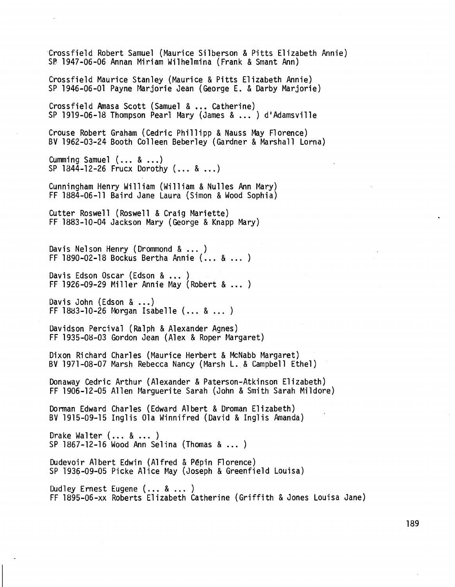'Crossfield Robert Samuel (Maurice Silberson & Pitts Elizabeth Annie) SP 1947-06-06 Annan Miriam Wilhelmina (Frank & Smant Ann)

Crossfield Maurice Stanley (Maurice & Pitts Elizabeth Annie) SP 1946-06-01 Payne Marjorie Jean (George E. & Darby Marjorie)

Crossfield Amasa Scott (Samuel & ... Catherine) SP 1919-06-18 Thompson Pearl Mary (James & ... ) d'Adamsville

Crouse Robert Graham (Cedric Phillipp & Nauss May Florence) BV 1962-03-24 Booth Colleen Beberley (Gardner & Marshall Lorna)

Cumming Samuel  $(... 8 ...)$ SP 1844-12-26 Frucx Dorothy (... & ...)

Cunningham Henry William (William & Nulles Ann Mary) FF 1884-06-11 Baird Jane Laura (Simon & Wood Sophia)

Cutter Roswell (Roswell & Craig Mariette) FF 1883-10-04 Jackson Mary (George & Knapp Mary)

Davis Nelson Henry (Drommond& ... ) FF 1890-02-18 Bockus Bertha Annie (... & ... )

Davis Edson Oscar (Edson & ... ) FF 1926-09-29 Miller Annie May (Robert & ... )

Davis John (Edson & ...)  $FF$  1883-10-26 Morgan Isabelle  $(.,., %.,.)$ 

Davidson Percival (Ralph & Alexander Agnes) FF 1935-08-03 Gordon Jean (Alex & Roper Margaret)

Dixon Richard Charles (Maurice Herbert & McNabb Margaret) BV 1971-08-07 Marsh Rebecca Nancy (Marsh L. & Campbell Ethel)

Donaway Cedric Arthur (Alexander & Paterson-Atkinson Elizabeth) FF 1906-12-05 Allen Marguerite Sarah (John & Smith Sarah Mildore)

Dorman Edward Charles (Edward Albert & Droman Elizabeth) BV 1915-09-15 Inglis Ola Winnifred (David & Inglis Amanda)

Drake Walter (... & ... ) SP 1867-12-16 Wood Ann Selina (Thomas & ... )

Dudevoir Albert Edwin (Alfred & Pêpin Florence) SP 1936-09-05 Picke Alice May (Joseph & Greenfield Louisa)

Dudley Ernest Eugene (... & ... ) FF l895-06-xx Roberts Elizabeth Catherine (Griffith & Jones Louisa Jane)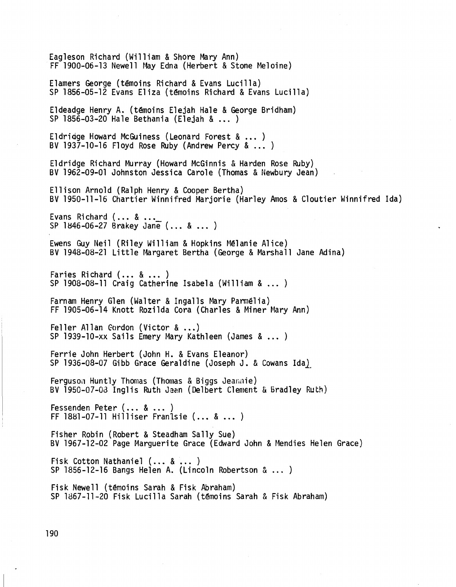Eagleson Richard (William & Shore Mary Ann) FF 1900-06-13 Newell May Edna (Herbert & Stone Meloine) Elamers George (témoins Richard & Evans Lucilla) SP 1856-05-12 Evans Eliza (témoins Richard & Evans Lucilla) Eldeadge Henry A. (témoins Elejah Hale & George Bridham) SP 1856-03-20 Hale Bethania (Elejah & ... ) Eldriage Howard McGuiness (Leonard Forest & ... ) BV 1937-10-16 Floyd Rose Ruby (Andrew Percy & ... ) Eldridge Richard Murray (Howard McGinnis & Harden Rose Ruby) BV 1962-09-01 Johnston Jessica Carole (Thomas & Newbury Jean) Ellison Arnold (Ralph Henry & Cooper Bertha) BV 1950-11-16 Chartier Winnifred Marjorie (Harley Amos & Cloutier Winnifred Ida) Evans Richard (... & ... SP 1846-06-27 Brakey Jane (... & ... ) Ewens Guy Neil (Riley William & Hopkins Mélanie Alice) BV 1948-08-21 Little Margaret Bertha (George & Marshall Jane Adina) Faries Richard (... & ... ) SP 1908-08-11 Craig Catherine Isabela (William & ... ) Farnam Henry Glen (Walter & Ingalls Mary Parmélia) FF 1905-06-14 Knott Rozilda Cora (Charles & Miner Mary Ann) Fe11er A11an Gurdon (Victor & ...) SP 1939-10-xx Sails Emery Mary Kathleen (James & ... ) Ferrie John Herbert (John H. & Evans Eleanor) SP 1936-08-07 Gibb Grace Geraldine (Joseph J. & Cowans Ida) Ferguson Huntly Thomas (Thomas & Biggs Jeannie) BV 1950-07-03 Inglis Ruth Jean (Delbert Clement & Bradley Ruth) Fessenden Peter (... & ... ) FF 1881-07-11 Hilliser Franlsie (... & ... ) Fisher Robin (Robert & Steadham Sally Sue) BV 1967-12-02 Page Marguerite Grace (Edward John & Mendies Helen Grace) Fisk Cotton Nathaniel (... & ... ) SP 1856-12-16 Bangs Helen A. (Lincoln Robertson  $\alpha$  ... ) Fisk Newell (témoins Sarah & Fisk Abraham) SP 1867-11-20 Fisk Lucilla Sarah (témoins Sarah & Fisk Abraham)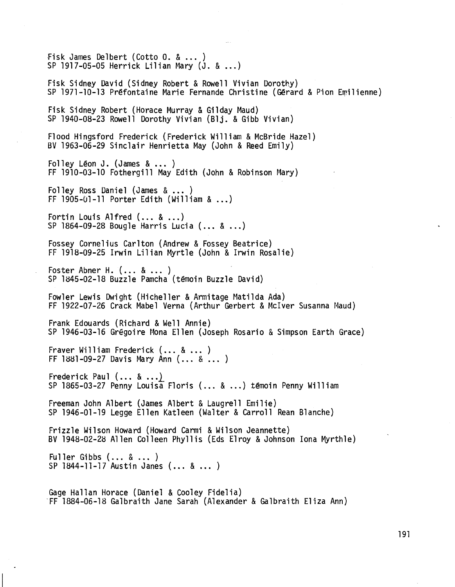fisk James De1bert (Cotto O. & ...) SP 1917-05-05 Herrick Lilian Mary (J. & ...) Fisk Sidney David (Sidney Robert & Rowell Vivian Dorothy) SP 1971-10-13 Préfontaine Marie Fernande Christine (Gérard & Pion Emilienne) Fisk Sidney Robert (Horace Murray & Gi1day Maud) SP 1940-08-23 Rowe11 Dorothy Vivian (B1j. & Gibb Vivian) Flood Hingsford Frederick (Frederick William & McBride Hazel) BV1963-06-29 Sinclair Henrietta May (John & Reed Emily) Folley Léon J. (James  $\&\ldots$ ) FF 1910-03-10 Fothergi11 MayEdith (John & Robinson Mary) Folley Ross Daniel (James & ... ) FF 1905-01-11 Porter Edith (William & ...) Fortin Louis Alfred (... & ...) SP 1864-09-28 Boug1e Harris Lucia (... & ...) Fossey Cornelius Carlton (Andrew& Fossey Beatrice) FF 1918-09-25 Irwin Lilian Myrtle (John & Irwin Rosalie) Foster Abner H. (... & ... ) SP 1845-02-18 Buzz1e Pamcha (témoin Buzz1e David) Fow1er Lewis Dwight (Hiche11er & Armitage Matilda Ada) FF 1922-07-26 Crack Mabe1 Verna (Arthur Gerbert & Mclver Susanna Maud) Frank Edouards (Richard & Well Annie) SP 1946-03-16 Grégoire Mona Ellen (Joseph Rosario & Simpson Earth Grace) Fraver William Frederick (... & ... ) FF 1881-09-27 Davis Mary Ann (... & ... ) Frederick Paul  $(\ldots \& \ldots)$ SP 1865-03-27 Penny Louisa Floris (... & ...) témoin Penny William Freeman John Albert (James Albert & Laugrell Emilie) SP 1946-01-19 Legge Ellen Kat1een (Walter & Carroll Rean Blanche) Frizz1e Wilson Howard (Howard Carmi & Wilson Jeannette) BV 1948-02-28 Allen Colleen Phyllis (Eds Elroy & Johnson lona Myrth1e) Fuller Gibbs (... & ... ) SP 1844-11-17 Austin Janes (... & ... ) Gage Ha11an Horace (Daniel & Coo1ey Fide1ia) -FF 1884-06-18 Galbraith Jane Sarah (Alexander & Galbraith E1iza Ann)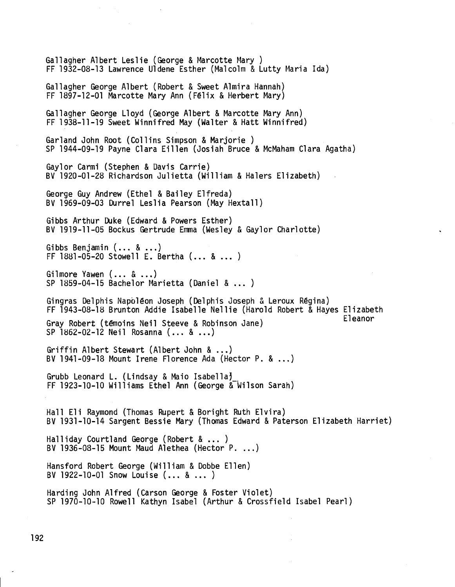Ga11agher Albert Les1ie (George & Marcotte Mary) FF 1932-08-13 Lawrence U1dene Esther (Malcolm & Lutty Maria Ida) Ga11agher George Albert (Robert & Sweet A1mira Hannah) FF 1897-12-01 Marcotte Mary Ann (Félix & Herbert Mary) Ga11agher George Lloyd (George Albert & Marcotte Mary Ann) FF 1938-11-19 Sweet Winnifred May (Walter & Hatt Winnifred) Gar1and John Root (Collins Simpson & Marjorie ) SP 1944-09-19 Payne Clara Eillen (Josiah Bruce & McMaham Clara Agatha) Gay10r Carmi (Stephen & Davis Carrie) BV 1920-01-28 Richardson Ju1ietta (William & Ha1ers Elizabeth) George Guy Andrew (Ethel & Bai1ey Elfreda) SV 1969-09-03 Durre1 Les1ia Pearson (May Hexta11) Gibbs Arthur Duke (Edward & Powers Esther) BV 1919-11-05 Bockus Gertrude Emma(Wesley & Gay10r Charlotte) Gibbs Benjamin(... & ...) FF 1881-05-20 Stowell E. Bertha  $(... 8 ... )$ Gilmore Yawen  $(... 8 ...)$ SP 1859-04-15 Bache10r Marietta (Daniel & ... ) Gingras De1phis Napoléon Joseph (De1phis Joseph & Leroux Régina) FF 1943-08-18 Brunton Addie Isabelle Nellie (Harold Robert & Hayes Elizabeth Gray Robert (témoins Neil Steeve & Robinson Jane) SP 1862-02-12 Neil Rosanna (... & ...) Griffin Albert Stewart (Albert John & ...) BV1941-09-18 Mount Irene Florence Ada (Hector P. & ...) Grubb Leonard L. (Lindsay & Maio Isabella' FF 1923-10-10 Williams Ethel Ann (George & Wilson Sarah) Hall E1i Raymond (Thomas Rupert & Boright Ruth Elvira) BV 1931-10-14 Sargent Bessie Mary (Thomas Edward & Paterson Elizabeth Harriet) Ha11iday Court1and George (Robert & ... ) BV 1936-08-15 Mount Maud Alethea (Hector P. ...) Hansford Robert George (William & Dobbe Ellen) BV 1922-10-01 Snow Louise (... & ... ) Harding John Alfred (Carson George & Foster Violet) SP 1970-10-10 Rowe11 Kathyn Isabel (Arthur & Crossfie1d Isabel Pearl)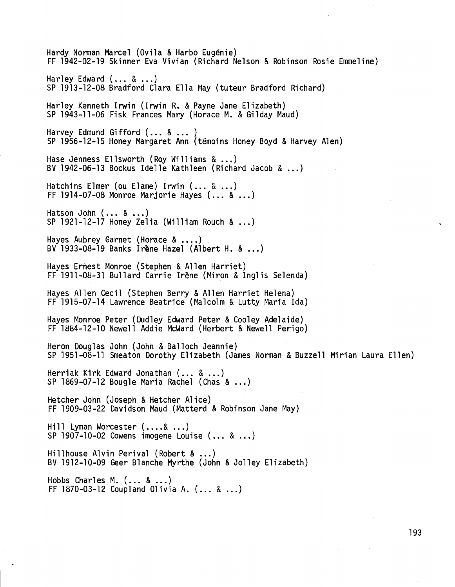Hardy Norman Marcel (Ovila & Harbo Eugénie) FF 1942-02-19 Skinner Eva Vivian (Richard Nelson & Robinson Rosie Emmeline) Harley Edward (... & ...) SP 1913-12-08 Bradford Clara Ella May (tuteur Bradford Richard) Harley Kenneth Irwin (Irwin R. & Payne Jane Elizabeth) SP 1943-11-06 Fisk Frances Mary (Horace M. & Gilday Maud) Harvey Edmund Gifford (... & ... ) SP 1956-12-15 Honey Margaret Ann (témoins Honey Boyd & Harvey Alen) Hase Jenness Ellsworth (Roy Williams & ...) BV1942-06-13 Bockus Idelle Kathleen (Richard Jacob & ...) Hatchins Elmer (ou Elame) Irwin (... & ...) FF 1914-07-08 Monroe Marjorie Hayes  $(... 8 ...)$ Hatson John (... & ...) SP 1921-12-17 Honey Zelia (William Rouch  $\&...$ ) Hayes Aubrey Garnet (Horace  $\&...$ ) BV1933-08-19 Banks Irène Hazel (Albert H. & ...) Hayes Ernest Monroe (Stephen & Allen Harriet) FF 1911-0S-31 Bullard Carrie Irène (Miron & Inglis Selenda) Hayes Allen Cecil (Stephen Berry & Allen Harriet Helena) FF 1915-07-14 Lawrence Beatrice (Malcolm & Lutty Maria Ida) Hayes Monroe Peter (Dudley Edward Peter & Cooley Adelaide) FF 1884-12-10 Newell Addie McWard (Herbert & Newell Perigo) Heron Douglas John (John & Balloch Jeannie) SP 1951-08-11 Smeaton Dorothy Elizabeth (James Norman & Buzzell Mirian Laura Ellen) Herriak Kirk Edward Jonathan (... & ...) SP 1869-07-12 Bougle Maria Rachel (Chas & ...) Hetcher John (Joseph & Hetcher Alice) FF 1909-03-22 Davidson Maud(Matterd & Robinson Jane May) Hill Lyman Worcester  $(....\&...)$ SP 1907-10-02 Cowens imogene Louise (... & ...) Hillhouse Alvin Perival (Robert & ...) BV 1912-10-09 Geer Blanche Myrthe (John & Jolley Elizabeth) Hobbs Charles M.  $(... 8 ...)$ FF 1870-03-12 Coupland Olivia A. (... & ...)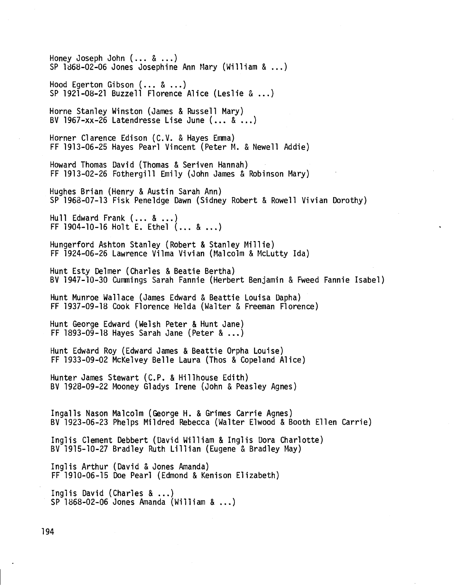Honey Joseph John  $(... & ...)$ <br>SP 1868-02-06 Jones Josephine Ann Mary (William  $\& ...$ ) Hood Egerton Gibson (... & ...) SP 1921-08-21 Buzzell Florence Alice (Leslie  $\&...$ ) Horne Stanley Winston (James & Russell Mary) BV 1967-xx-26 Latendresse Lise June (... & ...) Horner Clarence Edison (C.V. & Hayes Emma) FF 1913-06-25 Hayes Pearl Vincent (Peter M. & Newell Addie) Howard Thomas David (Thomas & Seriven Hannah) FF 1913-02-26 Fothergill Emily (John James & Robinson Mary) Hughes Brian (Henry & Austin Sarah Ann) SP 1968-07-13 Fisk Peneldge Dawn(Sidney Robert & Rowell Vivian Dorothy) Hull Edward Frank (... & ...) FF 1904-10-16 Holt E. Ethel (... & ...) Hungerford Ashton Stanley (Robert & Stanley Millie) FF 1924-06-26 Lawrence Vilma Vivian (Malcolm & McLutty Ida) Hunt Esty Delmer (Charles & Beatie Bertha) BV 1947-10-30 Cummings Sarah Fannie (Herbert Benjamin & Fweed Fannie Isabel) Hunt Munroe Wallace (James Edward & Beattie Louisa Dapha) FF 1937-09-18 Cook Florence Helda (Walter & Freeman Florence) Hunt George Edward (Welsh Peter & Hunt Jane) FF 1893-09-18 Hayes Sarah Jane (Peter & ...) Hunt Edward Roy (Edward James & Beattie Orpha Louise) FF 1933-09-02 McKelvey Belle Laura (Thos & Copeland Alice) Hunter James Stewart (C.P. & Hillhouse Edith) BV 1928-09-22 Mooney Gladys Irene (John & Peasley Agnes) Ingalls Nason Malcolm (George H. & Grimes Carrie Agnes) BV 1923-06-23 Phelps Mildred Rebecca (Walter Elwood & Booth Ellen Carrie) Inglis Clement Debbert (David William & Inglis Dora Charlotte) BV 1915-10-27 Bradley Ruth Lillian (Eugene & Bradley May) Inglis Arthur (David & Jones Amanda) FF 1910-06-15 Doe Pearl (Edmond & Kenison Elizabeth) Inglis David (Charles & ...) SP 1868-02-06 Jones Amanda (William & ...)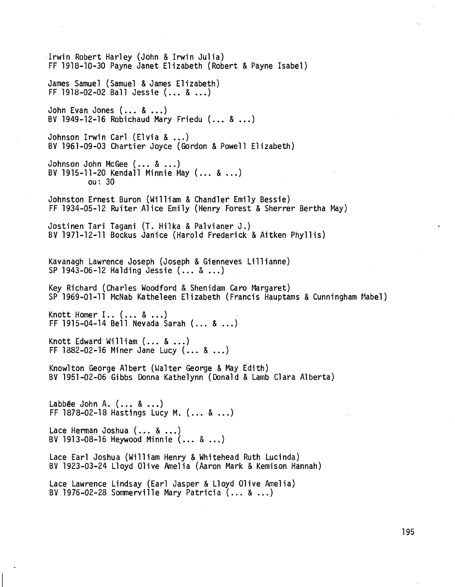Irwin Robert Harley (John & Irwin Julia) FF 1918-10-30 Payne Janet Elizabeth (Robert & Payne Isabel) James Samuel (Samuel & James Elizabeth) FF 1918-02-02 Ball Jessie  $(... 8 ...)$ John Evan Jones  $( \ldots \& \ldots )$ BV 1949-12-16 Robichaud Mary Friedu  $(... 8 ...)$ Johnson Irwin Carl (Elvia & ...) BV 1961-09-03 Chartier Joyce (Gordon & Powell Elizabeth) Johnson John McGee  $(... 8 ...)$ BV 1915-11-20 Kendall Minnie May  $( \ldots \& \ldots)$ ou: 30 Johnston Ernest Buron (William & Chandler Emily Bessie) FF 1934-05-12 Ruiter Alice Emily (Henry Forest & Sherrer Bertha May) Jostinen Tari Tagani (T. Hilka & Palvianer J.) BV 1971-12-11 Bockus Janice (Harold Frederick & Aitken Phyllis) Kavanagh Lawrence Joseph (Joseph & Gienneves Lillianne) SP 1943-06-12 Halding Jessie  $(... & ...)$ Key Richard (Charles Woodford & Shenidam Caro Margaret) SP 1969-01-11 McNab Katheleen Elizabeth (Francis Hauptams & Cunningham Mabel) Knott Homer I..  $( \ldots \& \ldots)$ FF 1915-04-14 Bell Nevada Sarah  $(... 8 ...)$ Knott Edward William  $(... 8 ...)$ FF 1882-02-16 Miner Jane Lucy  $(... 8 ...)$ Knowlton George Albert (Walter George & May Edith) BV 1951-02-06 Gibbs Donna Kathelynn (Donald & Lamb Clara Alberta) Labbée John A.  $(... 8 ...)$ FF 1878-02-18 Hastings Lucy M.  $(... & ...)$ Lace Herman Joshua  $( \ldots \& \ldots)$ BV 1913-08-16 Heywood Minnie  $( \ldots \& \ldots)$ Lace Earl Joshua (William Henry & Whitehead Ruth Lucinda) BV 1923-03-24 Lloyd Olive Amelia (Aaron Mark & Kemison Hannah) Lace Lawrence Lindsay (Earl Jasper & Lloyd Olive Amelia) BV 1976-02-28 Sommerville Mary Patricia  $( \ldots \& \ldots)$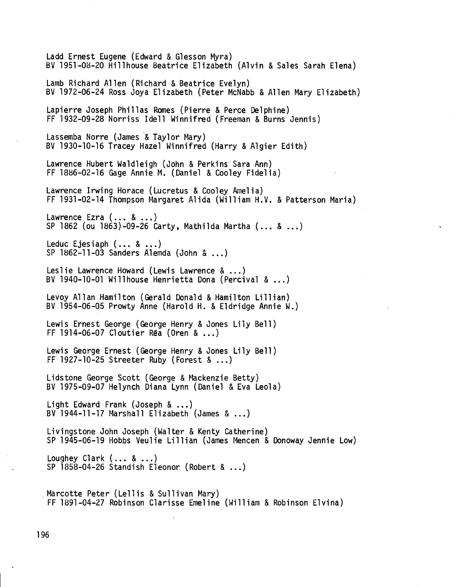Ladd Ernest Eugene(Edward & Glesson Myra) BV 1951-08-20 Hillhouse Beatrice Elizabeth (Alvin & Sales Sarah Elena) Lamb Richard Allen (Richard & Beatrice Evelyn) BV 1972-06-24 Ross Joya Elizabeth (Peter McNabb& Allen Mary Elizabeth) Lapierre Joseph Phillas Romes (Pierre & Perce Delphine) FF 1932-09-28 Norriss Idell Winnifred (Freeman & Burns Jennis) Lassemba Norre (James & Taylor Mary) BV 1930-10-16 Tracey Hazel Winnifred (Harry & Algier Edith) Lawrence Hubert Waldleigh (John & Perkins Sara Ann) FF 1886-02-16 Gage Annie M. (Daniel & Cooley Fidelia) Lawrence Irwing Horace (Lucretus & Cooley Amelia) FF 1931-02-14 Thompson Margaret Alida (William H.V. & Patterson Maria) Lawrence Ezra  $(... 8 ...)$ SP 1862 (ou 1863)-09-26 Carty, Mathilda Martha (... & ...) Leduc Ejesiaph (... & ...) SP 1862-11-03 Sanders Alemda (John & ...) Leslie Lawrence Howard (Lewis Lawrence & ...) BV1940-10-01 Willhouse Henrietta Dona (Percival & ...) Levoy Allan Hamilton (Gerald Donald & Hamilton Lillian) BV 1954-06-05 Prowty Anne (Harold H. & Eldridge Annie W.) Lewis Ernest George (George Henry & Jones Lily Bell) FF 1914-06-07 Cloutier Réa (Oren & ...) Lewis George Ernest (George Henry & Jones Lily Bell) FF 1927-10-25 Streeter Ruby (Forest & ...) Lidstone George Scott (George & Mackenzie Betty) BV 1975-09-07 Helynch Diana Lynn (Daniel & Eva Leola) Light Edward Frank (Joseph & ...) BV1944-11-17 Marshall Elizabeth (James & ...) Livingstone John Joseph (Walter & Kenty Catherine) SP 1945-06-19 Hobbs Veulie Lillian (James Mencen & Donoway Jennie Low) Loughey Clark (... & ...) SP  $1858-04-26$  Standish Eleonor (Robert  $\&...$ ) Marcotte Peter (Lellis & Sullivan Mary) FF 1891-04-27 Robinson Clarisse Emeline (William & Robinson Elvina)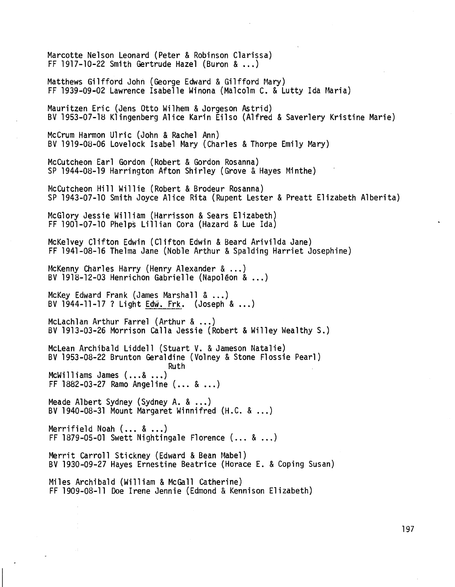Marcotte Nelson Leonard (Peter & Robinson C1arissa) FF 1917-10-22 Smith Gertrude Hazel (Buron & ...) Matthews Gilfford John (George Edward & Gilfford Mary) FF 1939-09-02 Lawrence Isabelle Winona (Malcolm C. & Lutty Ida Maria) Mauritzen Eric (Jens Otto Wi1hem& Jorgeson Astrid) BV 1953-07-18 K1ingenberg Alice Karin Ei1so (Alfred & Saver1ery Kristine Marie) McCrum Harmon Ulric (John & Rachel Ann) BV 1919-08-06 Lovelock Isabel Mary (Charles & Thorpe Emily Mary) McCutcheon Earl Gordon (Robert & Gordon Rosanna) SP 1944-08-19 Harrington Afton Shirley (Grove & Hayes Minthe) McCutcheon Hill Wi11ie (Robert & Brodeur Rosanna) SP 1943-07-10 Smith Joyce Alice Rita (Rupent Lester & Preatt Elizabeth A1berita) McGlory Jessie William (Harrisson & Sears Elizabeth) FF 1901-07-10 Phe1ps Li11ian Cora (Hazard & Lue Ida) McKelvey Clifton Edwin (C1ifton Edwin & Beard Arivi1da Jane) FF 1941-08-16 Thelma Jane (Noble Arthur & Spa1ding Harriet Josephine) McKenny Charles Harry (Henry Alexander & ...) BV1918-12-03 Henrichon Gabrielle (Napoléon & ...) McKey Edward Frank (James Marshall & ...) BV 1944-11-17 ? Light Edw. Frk. (Joseph  $\&...$ ) McLach1an Arthur Farre1 (Arthur & ...) SV 1913-03-26 Morrison Cal1a Jessie (Robert & Wi11ey Wea1thy S.) McLean Archibald Liddell (Stuart V. & Jameson Natalie) BV 1953-08-22 Brunton Geraldine (Volney & Stone Flossie Pearl) Ruth McWilliams James (...& ...) FF 1882-03-27 Ramo Angeline (... & ...) MeadeAlbert Sydney (Sydney A. & ...) BV 1940-08-31 Mount Margaret Winnifred (H.C. & <mark>.</mark>.. Merrifie1d Noah(... & ...) FF 1879-05-01 Swett Nightingale Florence (... & ...) Merrit Carroll Stickney (Edward & Bean Mabe1) BV 1930-09-27 Hayes Ernestine Beatrice (Horace E. & Coping Susan) Miles Archibald (William & McGall Catherine) FF 1909-08-11 Doe Irene Jennie (Edmond & Kennison Elizabeth)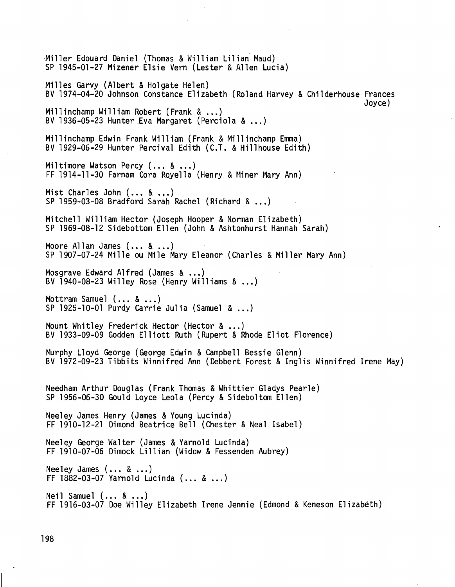Miller Edouard Daniel (Thomas & William Lilian Maud) SP 1945-01-27 Mizener Elsie Vern (Lester & Allen Lucia) Milles Garvy (Albert & Holgate Helen) BV 1974-04-20 Johnson Constance Elizabeth (Roland Harvey & Childerhouse Frances Joyce) Millinchamp William Robert (Frank & ...) BV 1936-05-23 Hunter Eva Margaret (Perciola  $\&...$ ) Millinchamp Edwin Frank William (Frank & Millinchamp Emma) BV 1929-06-29 Hunter Percival Edith (C.T. & Hillhouse Edith) Miltimore Watson Percy (... & ...) FF 1914-11-30 Farnam Cora Royella (Henry & Miner Mary Ann) Mist Charles John (... & ...) SP 1959-03-08 Bradford Sarah Rachel (Richard & ...) Mitchell William Hector (Joseph Hooper & Norman Elizabeth) SP 1969-08-12 Sidebottom Ellen (John & Ashtonhurst Hannah Sarah) Moore Allan James  $(... & ...)$ SP 1907-07-24 Mille ou Mile Mary Eleanor (Charles & Miller Mary Ann) Mosgrave Edward Alfred (James & ...) BV 1940-08-23 Willey Rose (Henry Williams  $\&...$ ) Mottram Samuel  $(... 8 ...)$ SP 1925-10-01 Purdy Carrie Julia (Samuel & ...) Mount Whitley Frederick Hector (Hector & ...) BV 1933-09-09 Godden Elliott Ruth (Rupert & Rhode Eliot Florence) Murphy Lloyd George (George Edwin & Campbell Bessie Glenn) BV 1972-09-23 Tibbits Winnifred Ann (Debbert Forest & Inglis Winnifred Irene May) Needham Arthur Douglas (Frank Thomas & Whittier Gladys Pearle) SP 1956-06-30 Gould Loyce Leola (Percy & Sideboltom Ellen) Neeley James Henry (James & Young Lucinda) FF 1910-12-21 Dimond Beatrice Bell (Chester & Neal Isabel) Neeley George Walter (James & Yarnold Lucinda) FF 1910-07-06 Dimock Lillian (Widow & Fessenden Aubrey) Neeley James (... & ...) FF 1882-03-07 Yarnold Lucinda (... & ...) Neil Samuel (... & ...) FF 1916-03-07 Doe Willey Elizabeth Irene Jennie (Edmond & Keneson Elizabeth)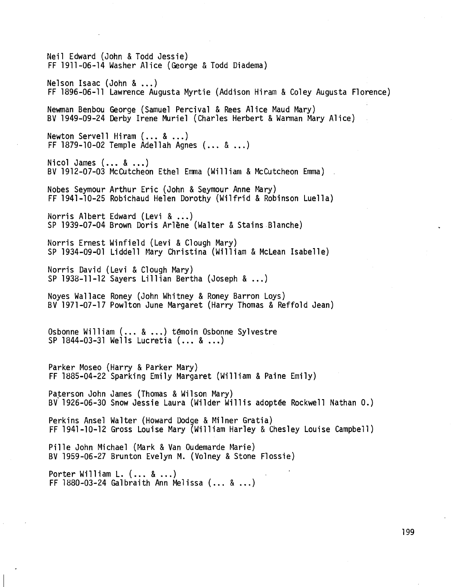Neil Edward (John & Todd Jessie) FF 1911-06-14 Washer Alice (George & Todd Diadema) Nelson Isaac (John & ...) FF 1896-06-11 Lawrence Augusta Myrtie (Addison Hiram & Coley Augusta Florence) Newman Benbou George (Samuel Percival & Rees Alice Maud Mary) BV 1949-09-24 Derby Irene Muriel (Charles Herbert & Warman Mary Alice) Newton Servell Hiram  $( \ldots \& \ldots)$ FF 1879-10-02 Temple Adellah Agnes  $( \ldots \& \ldots)$ Nicol James (... & ...)<br>BV 1912-07-03 McCutcheon Ethel Emma (William & McCutcheon Emma) . Nobes Seymour Arthur Eric (John & Seymour Anne Mary) FF 1941-10-25 Robichaud Helen Dorothy (Wilfrid & Robinson Luella) Norris Albert Edward (Levi & ...) SP 1939-07-04 Brown Doris Arlène (Walter & Stains.Blanche) Norris Ernest Winfield (Levi & Clough Mary) SP 1934-09-01 Liddell Mary Christina (William & McLean Isabelle) Norris David (Levi & Clough Mary) SP 1938-11-12 Sayers Lillian Bertha (Joseph & ...) Noyes Wallace Roney (John Whitney & Roney Barron Loys) BV 1971-07-17 Powlton June Margaret (Harry Thomas & Reffold Jean) Osbonne William (... & ...) témoin Osbonne Sylvestre SP 1844-03-31 Wells Lucretia (... & ...) Parker Moseo (Harry & Parker Mary) FF 1885-04-22 Sparking Emily Margaret (William & Paine Emily) Paterson John James (Thomas & Wilson Mary) BV 1926-06-30 Snow Jessie Laura (Wilder Willis adoptée Rockwell Nathan O.) Perkins Ansel Walter (Howard Dodge & Milner Gratia) FF 1941-10-12 Gross Louise Mary (William Harley & Chesley Louise Campbell) Pille John Michael (Mark & Van Oudemarde Marie) BV 1959-06-27 Brunton Evelyn M. (Volney & Stone Flossie) Porter William  $L.$   $(\ldots 8 \ldots)$ FF  $1880 - 03 - 24$  Galbraith Ann Melissa  $(... 8 ...)$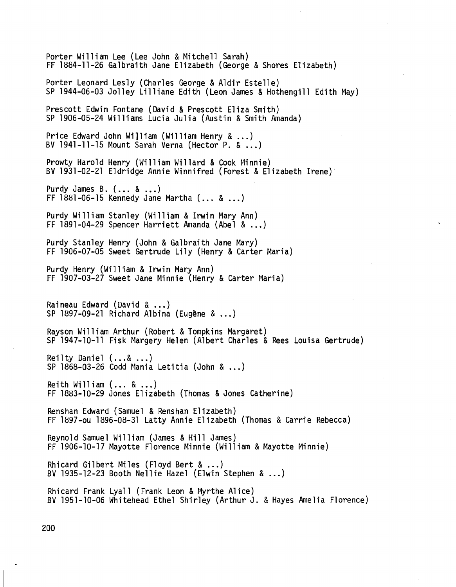Porter William Lee (Lee John & Mitchell Sarah) FF 1884-11-26 Galbraith Jane Elizabeth (George & Shores Elizabeth) Porter Leonard Lesly (Charles George & Aldir Estelle) SP 1944-06-03 Jolley Lilliane Edith (Leon James & Hothengill Edith May) Prescott Edwin Fontane (David & Prescott Eliza Smith) SP 1906-05-24 Williams Lucia Julia (Austin & Smith Amanda) Price Edward John William (William Henry & ...) SV 1941-11-15 Mount Sarah Verna (Hector P. & ...) Prowty Harold Henry (William Willard & Cook Minnie) BV 1931-02-21 Eldridge Annie Winnifred (Forest & Elizabeth Irene) Purdy James B.  $(... 8 ...)$ FF 1881-06-15 Kennedy Jane Martha  $(... 8 ...)$ Purdy William Stanley (William & Irwin Mary Ann) FF 1891-04-29 Spencer Harriett Amanda(Abel & ...) Purdy Stanley Henry (John & Galbraith Jane Mary) FF 1906-07-05 Sweet Gertrude Lily (Henry & Carter Maria) Purdy Henry (William & Irwin Mary Ann) FF 1907-03-27 Sweet Jane Minnie (Henry & Carter Maria) Raineau Edward (David & ...) SP 1897-09-21 Richard Albina (Eugène & ...) Rayson William Arthur (Robert & Tompkins Margaret) SP 1947-10-11 Fisk Margery Helen (Albert Charles & Rees Louisa Gertrude) Reilty Daniel (...& ...) SP 1868-03-26 Codd Mania Letitia (John & ...) Reith William  $(... 8 ...)$ FF 1883-10-29 Jones Elizabeth (Thomas & Jones Catherine) Renshan Edward (Samuel & Renshan Elizabeth) FF 1897-ou 1896-08-31 Latty Annie Elizabeth (Thomas & Carrie Rebecca) Reyno1d Samuel William (James & Hill James) FF 1906-10-17 Mayotte Florence Minnie (William & Mayotte Minnie) Rhieard Gilbert Miles (Floyd Bert & ...) BV 1935-12-23 Booth Nellie Hazel (Elwin Stephen & ...) Rhicard Frank Lyall (Frank Leon & Myrthe Alice) SV 1951-10-06 Whitehead Ethel Shirley (Arthur J. & Hayes Amelia Florence)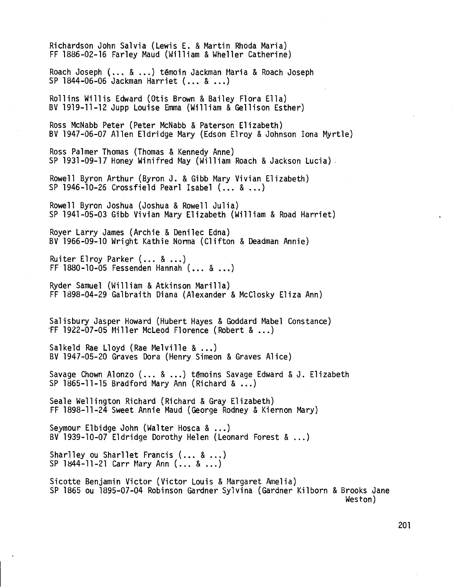Richardson John Salvia (Lewis E. & Martin Rhoda Maria) FF 1886-02-16 Farley Maud (William & Wheller Catherine) Roach Joseph (... & ...) témoin Jackman Maria & Roach Joseph SP 1844-06-06 Jackman Harriet (... & ...) Rollins Willis Edward (Otis Brown & Bailey Flora Ella) BV 1919-11-12 Jupp Louise Emma(William & Gellison Esther) Ross McNabb Peter (Peter McNabb & Paterson Elizabeth) BV 1947-06-07 Allen Eldridge Mary (Edson Elroy & Johnson Iona Myrtle) Ross Palmer Thomas (Thomas & Kennedy Anne) SP 1931-09-17 Honey Winifred May (William Roach & Jackson Lucia) . Rowell Byron Arthur (Byron J. & Gibb Mary Vivian Elizabeth) SP 1946-10-26 Crossfield Pearl Isabel (... & ...) Rowell Byron Joshua (Joshua & Rowell Julia) SP 1941-05-03 Gibb Vivian Mary Elizabeth (William & Road Harriet) Royer Larry James (Archie & Denilec Edna) BV 1966-09-10 Wright Kathie Norma (Clifton & Deadman Annie) Ruiter Elroy Parker (... & ...) FF 1880-10-05 Fessenden Hannah (... & ...) Ryder Samuel (William & Atkinson Marilla) FF 1898-04-29 Galbraith Diana (Alexander & McClosky Eliza Ann) Salisbury Jasper Howard (Hubert Hayes & Goddard Mabel Constance) rF 1922-07-05 Miller McLeod Florence (Robert & ...) Salkeld Rae Lloyd (Rae Melville & ...) BV 1947-05-20 Graves Dora (Henry Simeon & Graves Alice) Savage Chown Alonzo (... & ...) témoins Savage Edward & J. Elizabeth SP 1865-11-15 Bradford Mary Ann (Richard & ...) Seale Wellington Richard (Richard & Gray Elizabeth) FF 1898-11-24 Sweet Annie Maud(George Rodney& Kiernon Mary) Seymour Elbidge John (Walter Hosca & ...) BV1939-10-07 Eldridge Dorothy Helen (Leonard Forest & ...) Sharlley ou Sharllet Francis (... & ...)  $SP$  1844-11-21 Carr Mary Ann  $(... 8 ...)$ Sicotte Benjamin Victor (Victor Louis & Margaret Amelia) SP 1865 ou 1895-07-04 Robinson Gardner Sylvina (Gardner Kilborn & Brooks Jane Weston)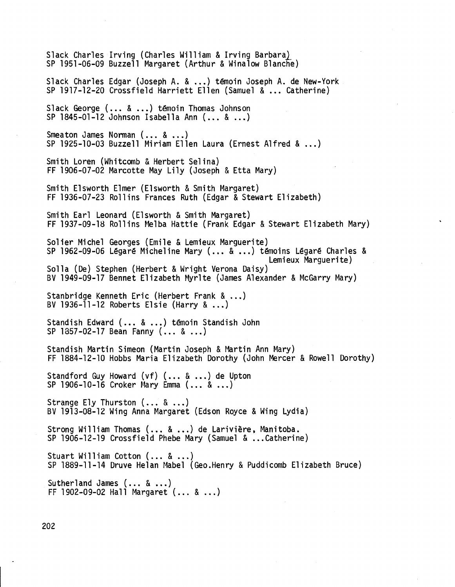Slack Charles Irving (Charles William & Irving Barbara) SP 1951-06-09 Buzzell Margaret (Arthur & Winalow Blanche) Slack Charles Edgar (Joseph A. & ...) témoin Joseph A. de New-York SP 1917-12-20 Crossfie1d Harriett Ellen (Samuel & ... Catherine) Slack George (... & ...) témoin Thomas Johnson SP 1845-01-12 Johnson Isabella Ann (... & ...) Smeaton James Norman (... & ...) SP 1925-10-03 Buzze11 Miriam Ellen Laura (Ernest Alfred & ...) Smith Loren (Whitcomb & Herbert Selina) FF 1906-07-02 Marcotte May Lily (Joseph & Etta Mary) Smith E1sworth Elmer (E1sworth & Smith Margaret) FF 1936-07-23 Rollins Frances Ruth (Edgar & Stewart Elizabeth) Smith Earl Leonard (E1sworth & Smith Margaret) FF 1937-09-18 Rollins Melba Hattie (Frank Edgar & Stewart Elizabeth Mary) Solier Michel Georges (Emile & Lemieux Marguerite) SP 1962-09-06 Légaré Micheline Mary (... & ...) témoins Légaré Charles & Lemieux Marguerite) Solla (De) Stephen (Herbert & Wright Verona Daisy) BV 1949-09-17 Bennet Elizabeth Myr1te (James Alexander & McGarry Mary) Stanbridge Kenneth Eric (Herbert Frank & ...) BV1936-11-12 Roberts Elsie (Harry & ...) Standish Edward (... & ...) témoin Standish John SP 1857-02-17 Bean Fanny (... & ...) Standish Martin Simeon (Martin Joseph & Martin Ann Mary) FF 1884-12-10 Hobbs Maria Elizabeth Dorothy (John Mercer & Rowe11 Dorothy) Standford Guy Howard (vf) (... & ...) de Upton SP 1906-10-16 Croker Mary Emma (... & ...) Strange Ely Thurston (... & ...) BV 1913-08-12 Wing Anna Margaret (Edson Royce & Wing Lydia) Strong William Thomas(... & ...) de Larivière, Manitoba. SP 1906-12-19 Crossfie1d Phebe Mary (Samuel & ...Catherine) Stuart William Cotton (... & ...) SP 1889-11-14 Druve He1an Mabe1 (Geo.Henry & Puddicomb Elizabeth Bruce) Sutherland James (... & ...) FF 1902-09-02 Hall Margaret  $(... 8 ...)$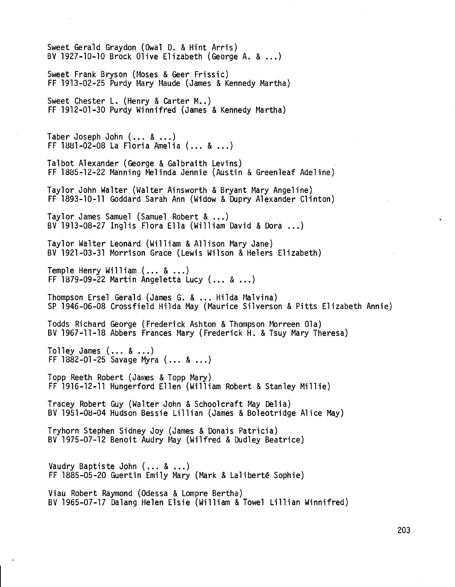Sweet Gerald Graydon (Owa1 D. & Hint Arris) BV1927-10-10 Brock Olive Elizabeth (George A. & ...) Sweet Frank Bryson (Moses & Geer Frissic) FF 1913-02-25 Purdy Mary Maude (James & Kennedy Martha) Sweet Chester L. (Henry & Carter M..) FF 1912-01-30 Purdy Winnifred (James & Kennedy Martha) Taber Joseph John (... & ...) FF 1881-02-08 La F10ria Amelia (... & ...) Talbot Alexander (George & Galbraith Levins) FF 1885-12-22 Manning Melinda Jennie (Austin & Greenleaf Adeline) Taylor John Walter (Walter Ainsworth & Bryant Mary Angeline) FF 1893-10-11 Goddard Sarah Ann (Widow & Dupry Alexander Clinton) Taylor James Samuel (Samuel Robert & ...) BV 1913-08-27 Ing1is Flora Ella (William David & Dora ...) Taylor Walter Leonard (William & A11ison Mary Jane) BV 1921-03-31 Morrison Grace (Lewis Wilson & Helers Elizabeth) Temple Henry William (... & ...) FF 1879-09-22 Martin Angeletta Lucy (... & ...) Thompson Erse1 Gerald (James G. & ... Hilda Ma1vina) SP 1946-06-08 Crossfield Hilda May (Maurice Si1verson & Pitts Elizabeth Annie) Todds Richard George (Frederick Ashton &Thompson Morreen Ola) BV 1967-11-18 Abbers Frances Mary (Frederick H. & Tsuy Mary Theresa) To11ey James (... & ...) FF 1882-01-25 Savage Myra (... & ...) Topp Reeth Robert (James & Topp Mary) FF 1916-12-11 Hungerford Ellen (William Robert & Stanley Millie) Tracey Robert Guy (Walter John & Schoolcraft May Delia) BV 1951-08-04 Hudson Bessie Li11ian (James & Bo1eotridge Alice May) Tryhorn Stephen Sidney Joy (James & Donais Patricia) BV 1975-07-12 Benoit Audry May (Wi1fred & Dudley Beatrice) Vaudry Baptiste John (... & ...) FF 1885-05-20 Guertin Emily Mary (Mark & La1ibertë Sophie) Viau Robert Raymond (Odessa & Lompre Bertha) BV 1965-07-17 Da1ang Helen Elsie (William & Towel Li1lian Winnifred)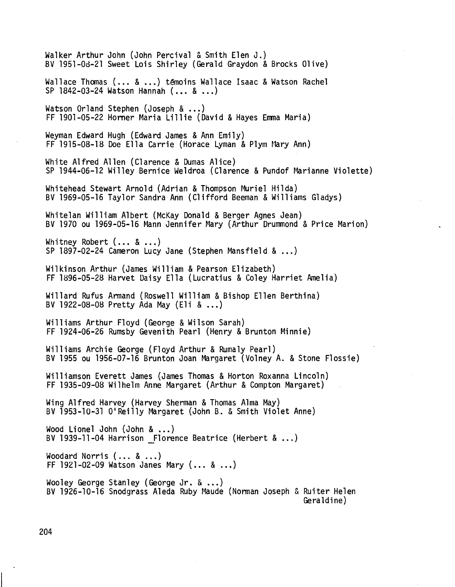Walker Arthur John (John Percival & Smith Elen J.) BV 1951-0d-21 Sweet Lois Shirley (Gerald Graydon & Brocks Olive) Wallace Thomas (... & ...) témoins Wallace Isaac & Watson Rachel SP 1842-03-24 Watson Hannah (... & ...) Watson Orland Stephen (Joseph & ...) FF 1901-05-22 Horner Maria Lillie (David & Hayes Emma Maria) WeymanEdward Hugh (Edward James & Ann Emily) FF 1915-08-18 Doe Ella Carrie (Horace Lyman & Plym Mary Ann) White Alfred Allen (Clarence & Dumas Alice) SP 1944-06-12 Willey Bernice Weldroa (Clarence & Pundof Marianne Violette) Whitehead Stewart Arnold (Adrian & Thompson Muriel Hilda) SV 1969-05-16 Taylor Sandra Ann (Clifford Seeman& Williams Gladys) White1an William Albert (McKay Donald & Berger Agnes Jean) BV 1970 ou 1969-05-16 Mann Jennifer Mary (Arthur Drummond& Price Marion) Whitney Robert  $(... & ...)$ SP 1897-02-24 Cameron Lucy Jane (Stephen Mansfield  $\&...$ ) Wilkinson Arthur (James William & Pearson Elizabeth) FF 1896-05-28 Harvet Daisy Ella (Lucratius & Coley Harriet Amelia) Wi11ard Rufus Armand (Roswell William & Sishop Ellen Berthina) SV 1922-08-08 Pretty Ada May (E1i & ...) Williams Arthur Floyd (George & Wilson Sarah) FF 1924-06-26 RumsbyGevenith Pearl (Henry & Brunton Minnie) Williams Archie George (Floyd Arthur & Rumaly Pearl) BV 1955 ou 1956-07-16 Srunton Joan Margaret (Volney A. & Stone Flossie) Wi11iamson Everett James (James Thomas & Horton Roxanna Lincoln) FF 1935-09-08 Wilhelm Anne Margaret (Arthur & Compton Margaret) Wing Alfred Harvey (Harvey Sherman & Thomas Alma May) BV 1953-10-31 0'Rei11y Margaret (John S. & Smith Violet Anne) Wood Lionel John (John & ...) BV 1939-11-04 Harrison Florence Beatrice (Herbert & ...) Woodard Norris  $(... 8 ...)$ FF 1921-02-09 Watson Janes Mary  $(... 8 ...)$ Wooley George Stanley (George Jr.  $\&...$ ) BV 1926-10-16 Snodgrass Aleda Ruby Maude (Norman Joseph & Ruiter Helen Gera1dine)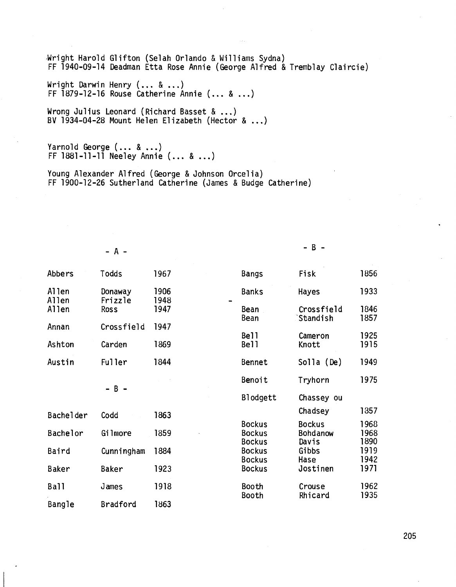,Wright Harold Glifton (Selah Orlando & Williams Sydna) FF 1940-09-14 Deadman Etta Rose Annie (George Alfred & Tremblay Claircie)

Wright Darwin Henry (... & ...) FF  $1879-12-16$  Rouse Catherine Annie (... & ...)

Wrong Julius Leonard (Richard Basset & ...) BV 1934-04-28 Mount Helen Elizabeth (Hector  $\&...$ )

Yarnold George (... & ...) FF 1881-11-11 Neeley Annie (... & ...)

Young Alexander Alfred (George & Johnson Orcelia) FF 1900-12-26 Sutherland Catherine (James & Budge Catherine)

 $-A$  - B -

| Abbers           | Todds              | 1967         | <b>Bangs</b>                   | Fisk                          | 1856         |
|------------------|--------------------|--------------|--------------------------------|-------------------------------|--------------|
| Allen<br>Allen   | Donaway<br>Frizzle | 1906<br>1948 | <b>Banks</b>                   | Hayes                         | 1933         |
| Allen            | <b>Ross</b>        | 1947         | Bean<br>Bean                   | Crossfield<br><b>Standish</b> | 1846<br>1857 |
| Annan            | Crossfield         | 1947         | Bell                           |                               | 1925         |
| Ashton           | Carden             | 1869         | Bell                           | Cameron<br>Knott              | 1915         |
| Austin           | <b>Fuller</b>      | 1844         | Bennet                         | Solla (De)                    | 1949         |
|                  | $- B -$            |              | Benoit                         | Tryhorn                       | 1975         |
|                  |                    |              | Blodgett                       | Chassey ou                    |              |
| <b>Bachelder</b> | Codd               | 1863         |                                | Chadsey                       | 1857         |
|                  |                    |              | <b>Bockus</b>                  | <b>Bockus</b>                 | 1968         |
| Bachelor         | Gilmore            | 1859         | <b>Bockus</b><br><b>Bockus</b> | <b>Bohdanow</b><br>Davis      | 1968<br>1890 |
| Baird            | Cunningham         | 1884         | <b>Bockus</b>                  | Gibbs                         | 1919         |
|                  |                    |              | <b>Bockus</b>                  | Hase                          | 1942         |
| <b>Baker</b>     | Baker              | 1923         | <b>Bockus</b>                  | Jostinen                      | 1971         |
| <b>Ball</b>      | James              | 1918         | Booth                          | Crouse                        | 1962         |
| Bangle           | Bradford           | 1863         | Booth                          | Rhicard                       | 1935         |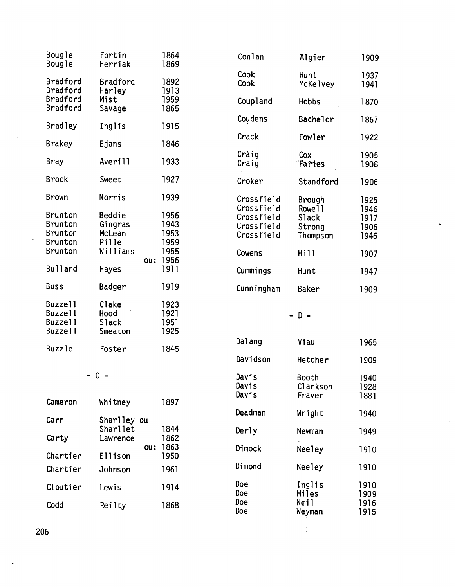| Bougle<br>Bougle | Fortin<br>Herriak | 1864<br>1869 | Conlan     | Alg                     |
|------------------|-------------------|--------------|------------|-------------------------|
|                  |                   |              | Cook       | Hun                     |
| <b>Bradford</b>  | <b>Bradford</b>   | 1892         | Cook       | <b>McK</b>              |
| <b>Bradford</b>  | Harley            | 1913         |            |                         |
| Bradford         | Mist              | 1959         | Coupland   | Hob                     |
| Bradford         | Savage            | 1865         |            |                         |
| <b>Bradley</b>   | Inglis            | 1915         | Coudens    | <b>Bac</b>              |
|                  |                   |              |            |                         |
| <b>Brakey</b>    | Ejans             | 1846         | Crack      | Fow                     |
|                  |                   |              | Craig      |                         |
| Bray             | Averill           | 1933         | Craig      | Cox<br>$\mathbb{T}$ Far |
|                  |                   |              |            |                         |
| <b>Brock</b>     | Sweet             | 1927         | Croker     | Sta                     |
|                  |                   |              |            |                         |
| <b>Brown</b>     | Norris            | 1939         | Crossfield | Bro                     |
|                  |                   |              | Crossfield | <b>Row</b>              |
| <b>Brunton</b>   | Beddie            | 1956         | Crossfield | S1a                     |
| <b>Brunton</b>   | Gingras           | 1943         | Crossfield | Str                     |
| <b>Brunton</b>   | McLean            | 1953         | Crossfield | Tho                     |
| <b>Brunton</b>   | Pille             | 1959         |            |                         |
| <b>Brunton</b>   | Williams          | 1955         | Cowens     | Hil                     |
|                  |                   | 1956<br>ou:  |            |                         |
| <b>Bullard</b>   | <b>Hayes</b>      | 1911         | Cummings   | Hun <sup>-</sup>        |
| <b>Buss</b>      | Badger            | 1919         | Cunningham | <b>Bak</b>              |
|                  |                   |              |            |                         |
| <b>Buzzell</b>   | Clake             | 1923         |            |                         |
| <b>Buzzell</b>   | Hood              | 1921         |            | $D -$                   |
| Buzzell          | Slack             | 1951         |            |                         |
| <b>Buzzell</b>   | <b>Smeaton</b>    | 1925         |            |                         |
|                  |                   |              | Dalang     | Via                     |
| <b>Buzzle</b>    | Foster            | 1845         |            |                         |
|                  |                   |              | Davidson   | Het                     |
|                  | - C -             |              | Davis      | Boo <sup>1</sup>        |
|                  |                   |              |            |                         |

| – C –    |                         |              |
|----------|-------------------------|--------------|
| Cameron  | Whitney                 | 1897         |
| Carr     | Sharlley ou<br>Sharllet |              |
| Carty    | Lawrence                | 1844<br>1862 |
| Chartier | ou:<br><b>Ellison</b>   | 1863<br>1950 |
| Chartier | Johnson                 | 1961         |
| Cloutier | Lewis                   | 1914         |
| Codd     | Reiltv                  | 1868         |

| Bougle<br>Bougle     | Fortin<br>Herriak         | 1864<br>1869 | Conlan     | Algier        | 1909 |
|----------------------|---------------------------|--------------|------------|---------------|------|
|                      |                           |              | Cook       | Hunt          | 1937 |
| Bradford<br>Bradford | <b>Bradford</b><br>Harley | 1892<br>1913 | Cook       | McKelvey      | 1941 |
| Bradford             | Mist                      | 1959         | Coupland   | <b>Hobbs</b>  | 1870 |
| Bradford             | Savage                    | 1865         |            |               |      |
|                      |                           |              | Coudens    | Bachelor      | 1867 |
| Bradley              | Inglis                    | 1915         |            |               |      |
| Brakey               | Ejans                     | 1846         | Crack      | Fowler        | 1922 |
|                      |                           |              | Craig      | Cox           | 1905 |
| Bray                 | Averill                   | 1933         | Craig      | Taries        | 1908 |
| Brock                | Sweet                     | 1927         |            |               |      |
|                      |                           |              | Croker     | Standford     | 1906 |
| Brown                | Norris                    | 1939         | Crossfield | <b>Brough</b> | 1925 |
|                      |                           |              | Crossfield | Rowe11        | 1946 |
| Brunton              | <b>Beddie</b>             | 1956         | Crossfield | Slack         | 1917 |
| Brunton              | Gingras                   | 1943         | Crossfield | Strong        | 1906 |
| Brunton              | McLean                    | 1953         | Crossfield | Thompson      | 1946 |
| Brunton              | Pille                     | 1959         |            |               |      |
| Brunton              | Williams                  | 1955         | Cowens     | Hill          | 1907 |
|                      |                           | 1956<br>ou:  |            |               |      |
| <b>Bullard</b>       | <b>Hayes</b>              | 1911         | Cummings   | Hunt          | 1947 |
| <b>Buss</b>          | Badger                    | 1919         | Cunningham | <b>Baker</b>  | 1909 |
|                      |                           |              |            |               |      |
| n. <del>.</del> .    | $\sim$<br>$\mathbf{r}$    | ,,,,         |            |               |      |

#### -  $D -$

|          |                 |              | Dalang                  | Viau                        | 1965                 |
|----------|-----------------|--------------|-------------------------|-----------------------------|----------------------|
| Buzzle   | Foster          | 1845         | Davidson                | Hetcher                     | 1909                 |
|          | - C -           |              | Davis<br>Davis<br>Davis | Booth<br>Clarkson<br>Fraver | 1940<br>1928<br>1881 |
| Cameron  | Whitney         | 1897         |                         |                             |                      |
| Carr     | Sharlley ou     |              | Deadman                 | Wright                      | 1940                 |
|          | Sharllet        | 1844         | Derly                   | Newman                      | 1949                 |
| Carty    | Lawrence<br>ou: | 1862<br>1863 | Dimock                  | Neeley                      | 1910                 |
| Chartier | <b>Ellison</b>  | 1950         |                         |                             |                      |
| Chartier | Johnson         | 1961         | Dimond                  | Neeley                      | 1910                 |
| Cloutier | Lewis           | 1914         | Doe<br><b>Doe</b>       | Inglis<br>Miles             | 1910<br>1909         |
| Codd     | Reilty          | 1868         | Doe<br>Doe              | Neil<br>Weyman              | 1916<br>1915         |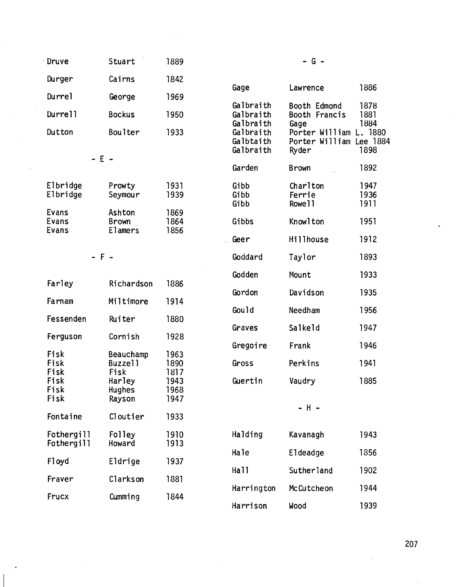| Druve   | Stuart        | 1889 |                                     | - G -                                    |                      |
|---------|---------------|------|-------------------------------------|------------------------------------------|----------------------|
| Durger  | Cairns        | 1842 |                                     |                                          |                      |
| Durrel  | George        | 1969 | Gage                                | Lawrence                                 | 1886                 |
| Durrell | <b>Bockus</b> | 1950 | Galbraith<br>Galbraith              | Booth Edmond<br>Booth Francis            | 1878<br>1881         |
| Dutton  | Boulter       | 1933 | Galbraith<br>Galbraith<br>Galbtaith | Gage<br>Porter William<br>Porter William | 1884<br>-18<br>Lee I |

| Elbridge<br>Elbridge | Prowty<br>Seymour | 1931<br>1939 |
|----------------------|-------------------|--------------|
| Evans                | Ashton            | 1869         |
| <b>Evans</b>         | <b>Brown</b>      | 1864         |
| Evans                | <b>Elamers</b>    | 1856         |

| Farley       | Richardson           | 1886         |                  |                     |
|--------------|----------------------|--------------|------------------|---------------------|
| Farnam       | Miltimore            | 1914         | Gordon           | Davidso             |
|              |                      |              | Gould            | Needham             |
| Fessenden    | Ruiter               | 1880         | Graves           | Salkeld             |
| Ferguson     | Cornish              | 1928         |                  |                     |
|              |                      |              | Gregoire         | Frank               |
| Fisk<br>Fisk | Beauchamp<br>Buzzell | 1963<br>1890 | Gross            | Perkins             |
| Fisk         | Fisk                 | 1817         |                  |                     |
| Fisk         | Harley               | 1943         | Guertin          | Vaudry              |
| Fisk         | <b>Hughes</b>        | 1968         |                  |                     |
| Fisk         | Rayson               | 1947         |                  | - H -               |
| Fontaine     | Cloutier             | 1933         |                  |                     |
| Fothergill   | Folley               | 1910         | Halding          | Kavanag             |
| Fothergill   | Howard               | 1913         |                  |                     |
| F1 oyd       | Eldrige              | 1937         | Hale             | Eldeadg             |
|              |                      |              | Ha <sub>11</sub> | Suther <sub>1</sub> |
| Fraver       | Clarkson             | 1881         |                  |                     |
|              |                      |              | Harrington       | McCutch             |
| Frucx        | Cumming              | 1844         | $l$ own con      | المموليا            |

| Durger                             | Cairns                            | 1842                 |                                     |                                          |                      |
|------------------------------------|-----------------------------------|----------------------|-------------------------------------|------------------------------------------|----------------------|
| Durrel                             | George                            | 1969                 | Gage                                | Lawrence                                 | 1886                 |
| Durrell                            | <b>Bockus</b>                     | 1950                 | Galbraith<br>Galbraith<br>Galbraith | Booth Edmond<br>Booth Francis            | 1878<br>1881<br>1884 |
| Dutton                             | <b>Boulter</b>                    | 1933                 | Galbraith<br>Galbtaith              | Gage<br>Porter William<br>Porter William | L. 1880<br>Lee 1884  |
| $- E -$                            |                                   |                      | Galbraith                           | Ryder                                    | 1898                 |
|                                    |                                   |                      | Garden                              | <b>Brown</b>                             | 1892                 |
| <b>Elbridge</b><br><b>Elbridge</b> | Prowty<br>Seymour                 | 1931<br>1939         | Gibb<br>Gibb<br>Gibb                | Charlton<br>Ferrie<br>Rowe 11            | 1947<br>1936<br>1911 |
| Evans<br>Evans<br>Evans            | Ashton<br><b>Brown</b><br>Elamers | 1869<br>1864<br>1856 | Gibbs                               | Knowlton                                 | 1951                 |
|                                    |                                   |                      | Geer                                | Hillhouse                                | 1912                 |
| $- F -$                            |                                   |                      | Goddard                             | Taylor                                   | 1893                 |
| Farley                             | Richardson                        | 1886                 | Godden                              | Mount                                    | 1933                 |
|                                    |                                   |                      | Gordon                              | Davidson                                 | 1935                 |
| Farnam                             | Miltimore                         | 1914                 | Gould                               | Needham                                  | 1956                 |
| Fessenden                          | Ruiter                            | 1880                 | Graves                              | Salkeld                                  | 1947                 |
| Ferguson                           | Cornish                           | 1928                 |                                     |                                          |                      |
| Fisk                               | <b>Beauchamp</b>                  | 1963                 | Gregoire                            | Frank                                    | 1946                 |
| Fisk                               | Buzzell                           | 1890                 | Gross                               | Perkins                                  | 1941                 |
| Fisk<br>Fisk<br>Fisk               | Fisk<br>Harley<br><b>Hughes</b>   | 1817<br>1943<br>1968 | Guertin                             | Vaudry                                   | 1885                 |
| Fisk                               | Rayson                            | 1947                 |                                     | – H –                                    |                      |

Halding Kavanagh 1943 Hale Eldeadge 1856 Hall Sutherland 1902 Harrington McCutcheon 1944 Harrison Wood 1939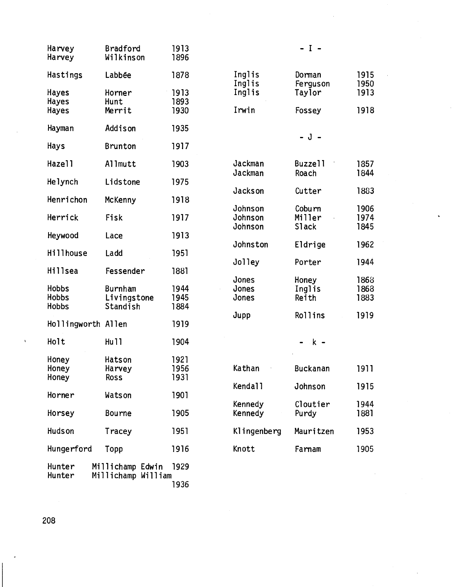| Harvey<br>Harvey                             | Bradford<br>Wilkinson              | 1913<br>1896         |                               | $- I -$                          |                      |
|----------------------------------------------|------------------------------------|----------------------|-------------------------------|----------------------------------|----------------------|
| Hastings                                     | Labbée                             | 1878                 | Inglis                        | Dorman                           | 1915                 |
| <b>Hayes</b><br>Hayes                        | Horner<br>Hunt                     | 1913<br>1893         | Inglis<br>Inglis<br>Irwin     | Ferguson<br>Taylor               | 1950<br>1913         |
| Hayes                                        | Merrit                             | 1930                 |                               | Fossey                           | 1918                 |
| Hayman                                       | Addison                            | 1935                 |                               | $-J -$                           |                      |
| Hays                                         | <b>Brunton</b>                     | 1917                 |                               |                                  |                      |
| Hazell                                       | Allmutt                            | 1903                 | Jackman                       | Buzzell                          | 1857                 |
| Helynch                                      | Lidstone                           | 1975                 | Jackman                       | Roach                            | 1844                 |
| Henrichon                                    | McKenny                            | 1918                 | Jackson                       | Cutter                           | 1883                 |
| Herrick                                      | Fisk                               | 1917                 | Johnson<br>Johnson<br>Johnson | Coburn<br>Miller<br><b>Slack</b> | 1906<br>1974<br>1845 |
| Heywood                                      | Lace                               | 1913                 |                               |                                  |                      |
| <b>Hillhouse</b>                             | Ladd                               | 1951                 | Johnston                      | Eldrige                          | 1962                 |
| <b>Hillsea</b>                               | Fessender                          | 1881                 | Jolley                        | Porter                           | 1944                 |
| <b>Hobbs</b><br><b>Hobbs</b><br><b>Hobbs</b> | Burnham<br>Livingstone<br>Standish | 1944<br>1945<br>1884 | Jones<br>Jones<br>Jones       | Honey<br>Inglis<br>Reith         | 1868<br>1868<br>1883 |
| Hollingworth Allen                           |                                    | 1919                 | Jupp                          | Rollins                          | 1919                 |
| Holt                                         | <b>Hu11</b>                        | 1904                 |                               | $k -$                            |                      |
| Honey<br>Honey<br>Honey                      | Hatson<br>Harvey<br><b>Ross</b>    | 1921<br>1956<br>1931 | Kathan                        | <b>Buckanan</b>                  | 1911                 |
| Horner                                       | Watson                             | 1901                 | Kendall                       | Johnson                          | 1915                 |
| Horsey                                       | <b>Bourne</b>                      | 1905                 | Kennedy<br>Kennedy            | Cloutier<br>Purdy                | 1944<br>1881         |
| <b>Hudson</b>                                | Tracey                             | 1951                 | Klingenberg                   | Mauritzen                        | 1953                 |
| Hungerford                                   | Topp                               | 1916                 | Knott                         | Farnam                           | 1905                 |
| Hunter                                       | Millichamp Edwin                   | 1929                 |                               |                                  |                      |
| Hunter                                       | Millichamp William                 | 1936                 |                               |                                  |                      |

 $\bar{\gamma}$ 

÷.

 $\ddot{\phantom{0}}$ 

 $\sim$ 

208

l,

 $\hat{\mathbf{v}}$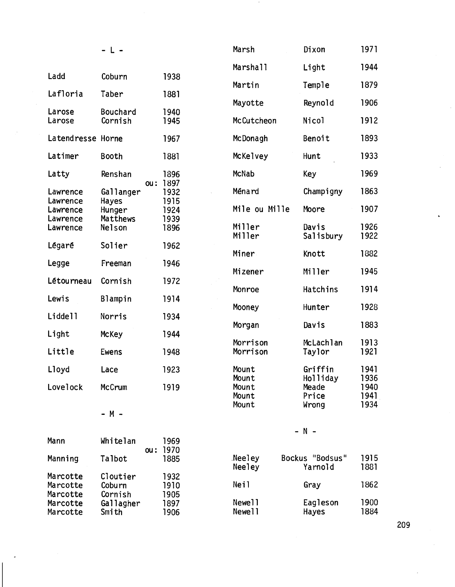|                                  | - L -                         |                      | Marsh                   | Dixon                      | 1971                 |
|----------------------------------|-------------------------------|----------------------|-------------------------|----------------------------|----------------------|
|                                  |                               |                      | <b>Marshall</b>         | Light                      | 1944                 |
| Ladd                             | Coburn                        | 1938                 | Martin                  | Temple                     | 1879                 |
| Lafloria                         | Taber                         | 1881                 | Mayotte                 | Reynold                    | 1906                 |
| Larose<br>Larose                 | Bouchard<br>Cornish           | 1940<br>1945         | McCutcheon              | Nicol                      | 1912                 |
| Latendresse Horne                |                               | 1967                 | McDonagh                | Benoit                     | 1893                 |
| Latimer                          | Booth                         | 1881                 | McKelvey                | Hunt                       | 1933                 |
| Latty                            | Renshan<br>ou:                | 1896<br>1897         | McNab                   | Key                        | 1969                 |
| Lawrence<br>Lawrence             | Gallanger<br>Hayes            | 1932<br>1915         | Ménard                  | Champigny                  | 1863                 |
| Lawrence<br>Lawrence             | Hunger<br>Matthews            | 1924<br>1939         | Mile ou Mille           | Moore                      | 1907                 |
| Lawrence                         | Nelson                        | 1896                 | Miller<br>Miller        | Davis<br>Salisbury         | 1926<br>1922         |
| Légaré                           | Solier                        | 1962                 | Miner                   | Knott                      | 1882                 |
| Legge                            | Freeman                       | 1946                 | Mizener                 | Miller                     | 1945                 |
| Létourneau                       | Cornish                       | 1972                 | Monroe                  | Hatchins                   | 1914                 |
| Lewis                            | Blampin                       | 1914                 | Mooney                  | Hunter                     | 1928                 |
| Liddell                          | Norris                        | 1934                 | Morgan                  | Davis                      | 1883                 |
| Light                            | <b>McKey</b>                  | 1944                 | Morrison                | McLachlan                  | 1913                 |
| Little                           | <b>Ewens</b>                  | 1948                 | Morrison                | Taylor                     | 1921                 |
| Lloyd                            | Lace                          | 1923                 | Mount<br>Mount          | Griffin<br>Holliday        | 1941<br>1936         |
| Lovelock                         | McCrum                        | 1919                 | Mount<br>Mount<br>Mount | Meade<br>Price<br>Wrong    | 1940<br>1941<br>1934 |
|                                  | $- M -$                       |                      |                         |                            |                      |
| Mann                             | Whitelan<br>ou:               | 1969<br>1970         |                         | $- N -$                    |                      |
| Manning                          | Talbot                        | 1885                 | Neeley<br>Neeley        | Bockus "Bodsus"<br>Yarnold | 1915<br>1881         |
| Marcotte<br>Marcotte<br>Marcotte | Cloutier<br>Coburn<br>Cornish | 1932<br>1910<br>1905 | Neil                    | Gray                       | 1862                 |
| Marcotte<br>Marcotte             | Gallagher<br>Smith            | 1897<br>1906         | Newe11<br>Newell        | Eagleson<br>Hayes          | 1900<br>1884         |

 $\cdot$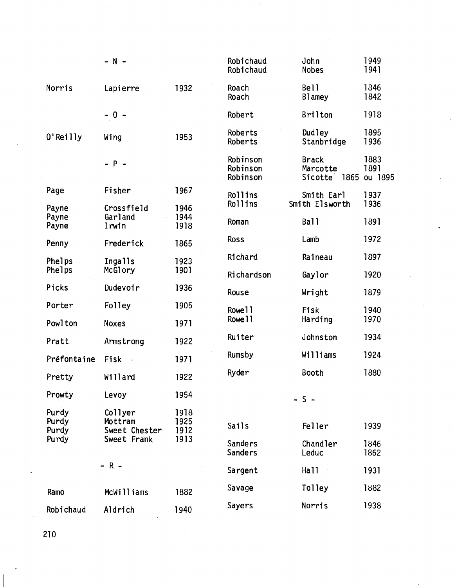|                                  | $- N -$                                            |                              | Robichaud<br>Robichaud           | John<br><b>Nobes</b>                        | 1949<br>1941            |
|----------------------------------|----------------------------------------------------|------------------------------|----------------------------------|---------------------------------------------|-------------------------|
| Norris                           | Lapierre                                           | 1932                         | Roach<br>Roach                   | Bell<br><b>Blamey</b>                       | 1846<br>1842            |
|                                  | $-0 -$                                             |                              | Robert                           | <b>Brilton</b>                              | 1918                    |
| 0'Reilly                         | Wing                                               | 1953                         | Roberts<br>Roberts               | Dudley<br>Stanbridge                        | 1895<br>1936            |
|                                  | $- P -$                                            |                              | Robinson<br>Robinson<br>Robinson | <b>Brack</b><br>Marcotte<br>Sicotte<br>1865 | 1883<br>1891<br>ou 1895 |
| Page                             | Fisher                                             | 1967                         | Rollins                          | Smith Earl                                  | 1937                    |
| Payne                            | Crossfield<br>Garland                              | 1946<br>1944                 | Rollins                          | Smith Elsworth                              | 1936                    |
| Payne<br>Payne                   | Irwin                                              | 1918                         | Roman                            | Ball                                        | 1891                    |
| Penny                            | Frederick                                          | 1865                         | <b>Ross</b>                      | Lamb                                        | 1972                    |
| Phelps                           | Ingalls                                            | 1923                         | Richard                          | Raineau                                     | 1897                    |
| Phelps                           | McGlory                                            | 1901                         | Richardson                       | Gaylor                                      | 1920                    |
| Picks                            | Dudevoir                                           | 1936                         | Rouse                            | Wright                                      | 1879                    |
| Porter                           | Folley                                             | 1905                         | Rowe 11                          | Fisk                                        | 1940                    |
| Powlton                          | <b>Noxes</b>                                       | 1971                         | Rowe 11                          | Harding                                     | 1970                    |
| Pratt                            | Armstrong                                          | 1922                         | Ruiter                           | Johnston                                    | 1934                    |
| Préfontaine                      | Fisk                                               | 1971                         | <b>Rumsby</b>                    | Williams                                    | 1924                    |
| Pretty                           | Willard                                            | 1922                         | Ryder                            | Booth                                       | 1880                    |
| Prowty                           | Levoy                                              | 1954                         |                                  | $-5-$                                       |                         |
| Purdy<br>Purdy<br>Purdy<br>Purdy | Collyer<br>Mottram<br>Sweet Chester<br>Sweet Frank | 1918<br>1925<br>1912<br>1913 | Sails                            | <b>Feller</b>                               | 1939                    |
|                                  |                                                    |                              | Sanders<br><b>Sanders</b>        | Chandler<br>Leduc                           | 1846<br>1862            |
|                                  | $- R -$                                            |                              | Sargent                          | Hall                                        | 1931                    |
| Ramo                             | <b>McWilliams</b>                                  | 1882                         | Savage                           | Tolley                                      | 1882                    |
| Robichaud                        | Aldrich                                            | 1940                         | Sayers                           | Norris                                      | 1938                    |

 $\bar{\beta}$ 

 $\overline{\phantom{a}}$ 

 $\sim$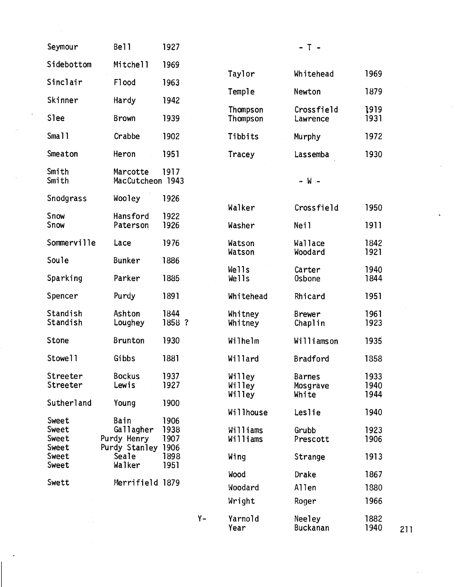| Seymour                          | Bell                                              | 1927                         |       |                            | $-$ T $-$                          |                      |
|----------------------------------|---------------------------------------------------|------------------------------|-------|----------------------------|------------------------------------|----------------------|
| Sidebottom                       | Mitchell                                          | 1969                         |       |                            |                                    |                      |
| Sinclair                         | F1ood                                             | $1963 -$                     |       | Taylor                     | Whitehead                          | 1969                 |
| Skinner                          | Hardy                                             | 1942                         |       | Temple                     | Newton                             | 1879                 |
| <b>Slee</b>                      | <b>Brown</b>                                      | 1939                         |       | Thompson<br>Thompson       | Crossfield<br>Lawrence             | 1919<br>1931         |
| Sma11                            | Crabbe                                            | 1902                         |       | Tibbits                    | Murphy                             | 1972                 |
| Smeaton                          | Heron                                             | 1951                         |       | Tracey                     | Lassemba                           | 1930                 |
| Smith<br>Smith                   | Marcotte<br>MacCutcheon 1943                      | 1917                         |       |                            | $- W -$                            |                      |
| Snodgrass                        | Wooley                                            | 1926                         |       |                            |                                    |                      |
| Snow                             | Hansford                                          | 1922                         |       | Walker                     | Crossfield                         | 1950                 |
| Snow                             | Paterson                                          | 1926                         |       | Washer                     | Neil                               | 1911                 |
| Sommerville                      | Lace                                              | 1976                         |       | Watson<br>Watson           | Wallace<br>Woodard                 | 1842<br>1921         |
| Soule                            | <b>Bunker</b>                                     | 1886                         |       | Wells                      | Carter                             | 1940                 |
| Sparking                         | Parker                                            | 1885                         |       | Wells                      | <b>Osbone</b>                      | 1844                 |
| Spencer                          | Purdy                                             | 1891                         |       | Whitehead                  | Rhicard                            | 1951                 |
| Standish<br>Standish             | Ashton<br>Loughey                                 | 1844<br>1858 ?               |       | Whitney<br>Whitney         | <b>Brewer</b><br>Chaplin           | 1961<br>1923         |
| Stone                            | <b>Brunton</b>                                    | 1930                         |       | Wilhelm                    | Williamson                         | 1935                 |
| Stowell                          | Gibbs                                             | 1881                         |       | Willard                    | <b>Bradford</b>                    | 1858                 |
| Streeter<br>Streeter             | <b>Bockus</b><br>Lewis                            | 1937<br>1927                 |       | Willey<br>Willey<br>Willey | <b>Barnes</b><br>Mosgrave<br>White | 1933<br>1940<br>1944 |
| Sutherland                       | Young                                             | 1900                         |       | Willhouse                  | Leslie                             | 1940                 |
| Sweet<br>Sweet<br>Sweet<br>Sweet | Bain<br>Gallagher<br>Purdy Henry<br>Purdy Stanley | 1906<br>1938<br>1907<br>1906 |       | Williams<br>Williams       | Grubb<br>Prescott                  | 1923<br>1906         |
| Sweet<br>Sweet                   | Seale<br>Walker                                   | 1898<br>1951                 |       | Wing                       | Strange                            | 1913                 |
| Swett                            | Merrifield 1879                                   |                              |       | Wood                       | Drake                              | 1867                 |
|                                  |                                                   |                              |       | Woodard                    | Allen                              | 1880                 |
|                                  |                                                   |                              |       | Wright                     | Roger                              | 1966                 |
|                                  |                                                   |                              | $Y -$ | Yarnold<br>Year            | Neeley<br><b>Buckanan</b>          | 1882<br>1940<br>211  |

 $\bar{\bar{z}}$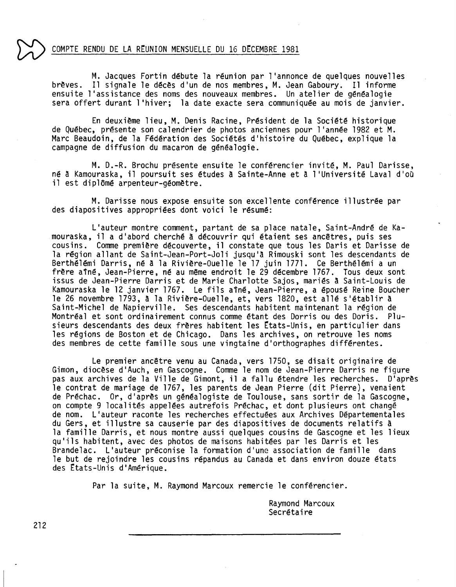#### COMPTE RENDU DE LA REUNION MENSUELLE DU 16 DECEMBRE 1981

M. Jacques Fortin débute la réunion par l'annonce de quelques nouvelles brèves. Il signale le décès d'un de nos membres, M.Jean Gaboury. Il informe ensuite l'assistance des noms des nouveaux membres. Un atelier de généalogie sera offert durant l 'hiver; la date exacte sera communiquée au mois de janvier.

En deuxième lieu, M. Denis Racine, Président de la Société historique de Québec, présente son calendrier de photos anciennes pour l'année 1982 et M. Marc Beaudoin, de la Fédération des Sociétés d'histoire du Québec, explique la campagne de diffusion du macaron de généalogie.

M.D.-R.Brochu présente ensuite le conférencier invité, M. Paul Darisse, né à Kamouraska, il poursuit ses études à Sainte-Anne et a l'Université Laval d'où il est diplômé arpenteur-géomètre.

M. Darisse nous expose ensuite son excellente conférence illustrée par des diapositives appropriées dont voici le résumé:

L'auteur montre comment, partant de sa place natale, Saint-André de Kamouraska, il a d'abord cherché a découvrir qui étaient ses ancêtres, puis ses cousins. Commepremière découverte, il constate que tous les Daris et Darisse de la région allant de Saint-Jean-Port-Joli jusqu'a Rimouski sont les descendants de Berthélémi Darris, né à la Rivière-Ouelle le 17 juin 1771. Ce Berthélémi a un frère aîné, Jean-Pierre, né au même endroit le 29 décembre 1767. Tous deux sont issus de Jean-Pierre Darris et de Marie Charlotte Sajos, mariés à Saint-Louis de Kamouraska le 12 janvier 1767. Le fils aîné, Jean-Pierre, a épousé Reine Boucher le 26 novembre 1793, a la Rivière-Quelle, et, vers 1820, est allé s'établir a Saint-Michel de Napierville. Ses descendants habitent maintenant la région de Montréal et sont ordinairement connus comme étant des Dorris ou des Doris. Plusieurs descendants des deux frères habitent les États-Unis, en particulier dans les régions de Boston et de Chicago. Dans les archives, on retrouve les noms des membres de cette famille sous une vingtaine d'orthographes différentes.

Le premier ancêtre venu au Canada, vers 1750, se disait originaire de Gimon, diocèse d'Auch, en Gascogne. Commele nom de Jean-Pierre Darris ne figure pas aux archives de la Ville de Gimont, il a fallu étendre les recherches. D'après le contrat de mariage de 1767, les parents de Jean Pierre (dit Pierre), venaient de Préchac. Or, d'après un généalogiste de Toulouse, sans sortir de la Gascogne, on compte 9 localités appelées autrefois Préchac, et dont plusieurs ont changé de nom. L'auteur raconte les recherches effectuées aux Archives Départementales du Gers, et illustre sa causerie par des diapositives de documents relatifs a la famille Darris, et nous montre aussi quelques cousins de Gascogne et les lieux qu'ils habitent, avec des photos de maisons habitées par les Darris et les Brandelac. L'auteur préconise la formation d'une association de famille dans le but de rejoindre les cousins répandus au Canada et dans environ douze états des Etats-Unis d'Amérique.

Par la suite, M. Raymond Marcoux remercie le conférencier.

Raymond Marcoux Secrétaire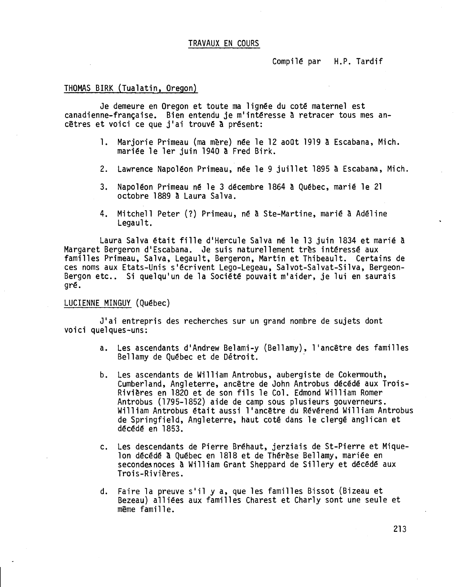#### TRAVAUX EN COURS

Compilé par H.P. Tardif

#### THOMAS BIRK (Tualatin, Oregon)

Je demeure en Oregon et toute ma lignée du coté maternel est canadienne-française. Bien entendu je m'intéresse a retracer tous mes ancêtres et voici ce que j'ai trouvé à présent:

- 1. Marjorie Primeau (ma mère) née le 12 aoOt 1919 a Escabana, Mich. mariée le 1er juin 1940 a Fred Birk.
- 2. Lawrence Napoléon Primeau, née le 9 juillet 1895 à Escabana, Mich.
- 3. Napoléon Primeau né le 3 décembre 1864 à Québec, marié le 21 octobre 1889 à Laura Sa1va.
- Mitchell Peter (?) Primeau, né à Ste-Martine, marié à Adé1ine 4. Legau1t.

Laura Sa1va était fille d'Hercule Sa1va né le 13 juin 1834 et marié à Margaret Bergeron d'Escabana. Je suis naturellement très intéressé aux familles Primeau, Sa1va, Legau1t, Bergeron, Martin et Thibeau1t. Certains de ces noms aux Etats-Unis s'écrivent Lego-Legeau, Salvot-Salvat-Silva, Bergeon-Bergon etc.. Si quelqu'un de la Société pouvait m'aider, je lui en saurais gré.

#### LUCIENNE MINGUY (Québec)

J'ai entrepris des recherches sur un grand nombre de sujets dont voici quelques-uns:

- a. Les ascendants d'Andrew Be1ami-y (Be11amy), l'ancêtre des familles Be11amyde Québec et de Détroit.
- b. Les ascendants de William Antrobus, aubergiste de Cokermouth, Cumberland, Angleterre, ancêtre de John Antrobus décédé aux Trois-Rivières en 1820 et de son fils le Col. Edmond William Romer Antrobus (1795-1852) aide de camp sous plusieurs gouverneurs. William Antrobus était aussi l'ancêtre du Révérend William Antrobus de Springfield, Angleterre, haut coté dans le clergé anglican et décédé en 1853.
- c. Les descendants de Pierre Bréhaut, jerziais de St-Pierre et Miquelon décédé à Québec en 1818 et de Thérèse Bellamy, mariée en secondes noces à William Grant Sheppard de Sillery et décédé aux Trois-Rivières.
- d. Faire la preuve s'il y a, que les familles Bissot (Bizeau et Bezeau) alliées aux familles Charest et Char1y sont une seule et même famille.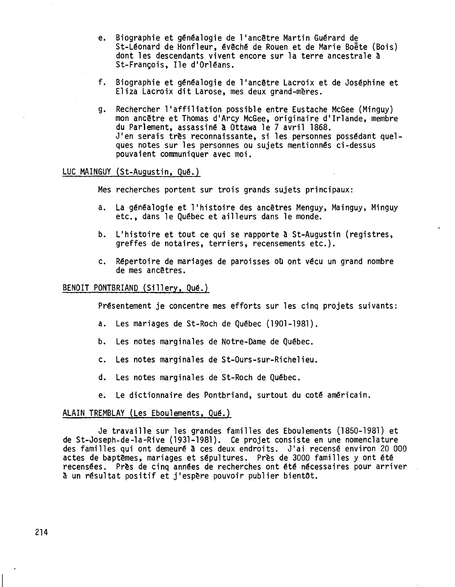- e. Biographie et généalogie de l'ancêtre Martin Guérard de St-Léonard de Honfleur, évêché de Rouen et de Marie Boëte (Bois) dont les descendants vivent encore sur la terre ancestrale à St-François, Ile d'Orléans.
- f. Biographie et généalogie de l'ancêtre Lacroix et de Joséphine et Eliza Lacroix dit Larose, mes deux grand-mères.
- g. Rechercher l'affiliation possible entre Eustache McGee(Minguy) mon ancêtre et Thomas d'Arcy McGee, originaire d'Irlande, membre du Parlement, assassiné à Ottawa le 7 avril 1868. J'en serais très reconnaissante, si les personnes possédant quelques notes sur les personnes ou sujets mentionnés ci-dessus pouvaient communiquer avec moi.

#### LUC MAINGUY (St-Augustin, Qué.)

Mes recherches portent sur trois grands sujets principaux:

- a. La généalogie et l'histoire des ancêtres Menguy, Mainguy, Minguy etc., dans le Québec et ailleurs dans le monde.
- b. L'histoire et tout ce qui se rapporte à St-Augustin (registre greffes de notaires, terriers, recensements etc.).
- c. Répertoire de mariages de paroisses où ont vécu un grand nombre de mes ancêtres.

#### BENOIT PONTBRIAND (Sillery, Qué.)

Présentement je concentre mes efforts sur les cinq projets suivants:

- a. Les mariages de St-Roch de Québec (1901-1981).
- b. Les notes marginales de Notre-Dame de Québec.
- c. Les notes marginales de St-Ours-sur-Richelieu.
- d. Les notes marginales de St-Roch de Québec.
- e. Le dictionnaire des Pontbriand, surtout du coté américain.

#### ALAIN TREMBLAY (Les Eboulements, Qué.)

Je travaille sur les grandes familles des Eboulements (1850-1981) et de St-Joseph-de-la-Rive (1931-1981). Ce projet consiste en une nomenclature des familles qui ont demeuré à ces deux endroits. J'ai recensé environ 20 000 actes de baptêmes, mariages et sépultures. Près de 3000 familles y ont été recensées. Près de cinq années de recherches ont été nécessaires pour arriver à un résultat positif et j'espère pouvoir publier bientôt.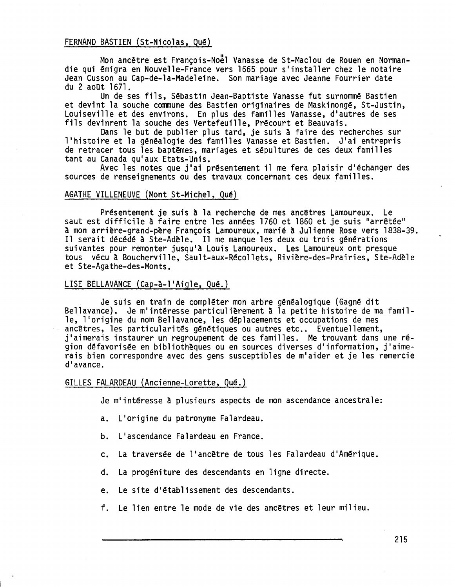#### FERNAND BASTIEN (St-Nicolas, Qué)

Mon ancêtre est Francois-Noël Vanasse de St-Maclou de Rouen en Normandie qui émigra en Nouvelle-France vers 1665 pour s'installer chez le notaire Jean Cusson au Cap-de-la-Madeleine. Son mariage avec Jeanne Fourrier date du 2 aoQt 1671.

Un de ses fils, Sébastin Jean-Baptiste Vanasse fut surnommé Bastien et devint la souche communedes Bastien originaires de Maskinongé, St-Justin, Louiseville et des environs. En plus des familles Vanasse, d'autres de ses fils devinrent la souche des Vertefeuille, Précourt et Beauvais.

Dans le but de publier plus tard, je suis à faire des recherches sur l'histoire et la généalogie des familles Vanasse et Bastien. J'ai entrepris de retracer tous les baptêmes, mariages et sépultures de ces deux familles tant au Canada qu'aux Etats-Unis.

Avec les notes que j'ai présentement il me fera plaisir d'échanger des sources de renseignements ou des travaux concernant ces deux familles.

#### AGATHE VILLENEUVE (Mont St-Michel, Qué)

Présentement je suis a la recherche de mes ancêtres Lamoureux. Le saut est difficile a faire entre les années 1760 et 1860 et je suis "arrêtée" a monarrière-grand-père François Lamoureux,marié a Julienne Rose vers 1838-39. Il serait décédé à Ste-Adèle. Il me manque les deux ou trois générations suivantes pour remonter jusqu'a Louis Lamoureux. Les Lamoureuxont presque tous vécu a Boucherville, Sault-aux-Récollets, Rivière-des-Prairies, Ste-Adèle et Ste-Agathe-des-Monts.

#### LISE BELLAVANCE (Cap-à-l'Aigle, Qué.)

Je suis en train de compléter mon arbre généalogique (Gagné dit Bellavance). Je m'intéresse particulièrement à la petite histoire de ma famille, l'origine du nom Bellavance, les déplacements et occupations de mes ancêtres, les particularités génétiques ou autres etc.. Eventuellement, j'aimerais instaurer un regroupement de ces familles. Me trouvant dans une région défavorisée en bibliothèques ou en sources diverses d'information, j'aimerais bien correspondre avec des gens susceptibles de m'aider et je les remercie d'avance.

#### GILLES FALARDEAU (Ancienne-Lorette, Qué.)

Je m'intéresse à plusieurs aspects de mon ascendance ancestrale:

- a. L'origine du patronyme Falardeau.
- b. L'ascendance Falardeau en France.
- c. La traversée de l'ancêtre de tous les Falardeau d'Amérique.
- d. La progéniture des descendants en ligne directe.
- e. Le site d'établissement des descendants.
- f. Le lien entre le mode de vie des ancêtres et leur milieu.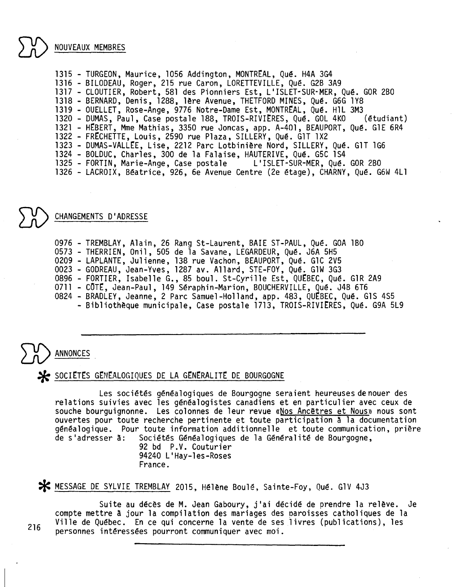NOUVEAUX MEMBRES

1315 - TURGEON, Maurice, 1056 Addington, MONTREAL, Qué. H4A 3G4 <sup>1316</sup> - BILODEAU, Roger, 215 rue Caron, LORETTEVILLE,Qué. G2B 3A9 <sup>1317</sup> - CLOUTIER, Robert, 581 des Pionniers Est, L'ISLET-SUR-MER, Qué. GOR2BO 1318 - BERNARD, Denis, 1288, 1ère Avenue, THETFORD MINES, Qué. G6G 1Y8 1319 - OUELLET, Rose-Ange, 9776 Notre-Dame Est, MONTREAL, Qué. H1L 3M3<br>1320 - DUMAS, Paul, Case postale 188, TROIS-RIVIERES, Qué. GOL 4KO (étudiant) 1320 - DUMAS, Paul, Case postale 188, TROIS-RIVIÈRES, Qué. GOL 4KO 1321 - HEBERT, Mme Mathias, 3350 rue Joncas, app. A-401, BEAUPORT, Qué. G1E 6R4 1322 - FRtCHETTE,Louis, 2590 rue Plaza, SILLERY, Qué. G1T lX2 1323 - DUMAS-VALLÉE, Lise, 2212 Parc Lotbinière Nord, SILLERY, Qué. G1T 1G6 1324 - BOLDUC, Charles, 300 de la Falaise, HAUTERIVE, Qué. G5C 1S4 <sup>1325</sup> - FORTIN, Marie-Ange, Case postale L'ISLET-SUR-MER, Qué. GOR2BO 1326 - LACROIX, Béatrice, 926, 6e Avenue Centre (2e étage), CHARNY, Qué. G6W 4Ll

CHANGEMENTS D'ADRESSE

0976 - TREMBLAY, Alain, 26 Rang St-Laurent, BAIE ST-PAUL, Qué. GOA 1BO 0573 - THERRIEN,Onil, 505 de la Savane, LEGARDEUR,Qué. J6A 5H5 0209 - LAPLANTE, Julienne, 138 rue Vachon, BEAUPORT, Qué. G1C 2V5 0023 - GODREAU, Jean-Yves, 1287 av. Allard, STE-FOY, Qué. GlW 3G3 0896 - FORTIER, Isabelle G., 85 boul. St-Cyrille Est, QUEBEC, Qué. GlR 2A9 0711 - CÔTÉ, Jean-Paul, 149 Séraphin-Marion, BOUCHERVILLE, Qué. J4B 6T6 0824 - BRADLEY, Jeanne, 2 Parc Samuel-Holland, app. 483, QUEBEC, Qué. G1S 4S5 - Bibliothèque municipale, Case postale 1713, TROIS-RIVIERES, Qué. G9A 5L9

**ANNONCES** 

 $\blacktriangleright$  SOCIETES GENEALOGIQUES DE LA GENERALITE DE BOURGOGNE

Les sociétés généalogiques de Bourgogne seraient heureuses de nouer des relations suivies avec les généalogistes canadiens et en particulier avec ceux de souche bourguignonne. Les colonnes de leur revue «Nos Ancêtres et Nous» nous sont ouvertes pour toute recherche pertinente et toute participation a la documentation généalogique. Pour toute information additionnelle et toute communication, prière<br>de s'adresser à: Sociétés Généalogiques de la Généralité de Bourgogne, Sociétés Généalogiques de la Généralité de Bourgogne,<br>92 bd P.V. Couturier

94240 L'Hay-les-Roses France.

\* MESSAGE DE SYLVIE TREMBLAY 2015, Hélène Boulé, Sainte-Foy, Qué. GlV 4J3

Suite au décès de M. Jean Gaboury, j'ai décidé de prendre la relève. Je compte mettre à jour la compilation des mariages des oaroisses catholiques de la Ville de Québec. En ce qui concerne la vente de ses livres (publications), les personnes intéressées pourront communiquer avec moi. <sup>216</sup>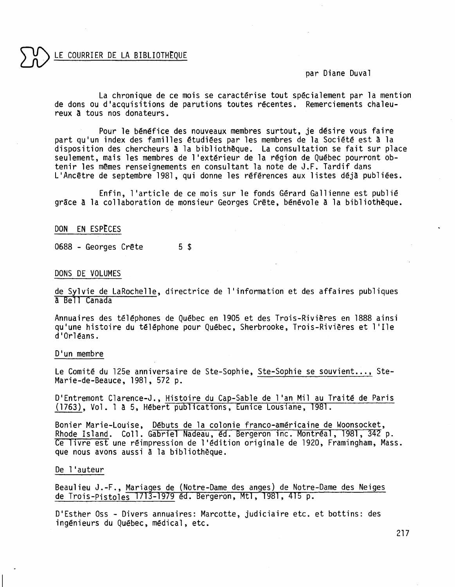#### LE COURRIER DE LA BIBLIOTHEOUE

#### par Diane Duval

La chronique de ce mois se caractérise tout spécialement par la mention de dons ou d'acquisitions de parutions toutes récentes. Remerciements chaleureux a tous nos donateurs.

Pour le bénéfice des nouveaux membres surtout, je désire vous faire part qu'un index des familles étudiées par les membres de la Société est a la disposition des chercheurs a la bibliothèque. La consultation se fait sur place seulement, mais les membres de l'extérieur de la région de Québec pourront obtenir les mêmes renseignements en consultant la note de J.F. Tardif dans L'Ancêtre de septembre 1981, qui donne les références aux listes déja publiées.

Enfin, l'article de ce mois sur le fonds Gérard Gallienne est publié grâce a la collaboration de monsieur Georges Crête, bénévole a la bibliothèque.

#### DON EN ESPECES

0688 - Georges Crête 5\$

#### DONS DE VOLUMES

de Sylvie de LaRochelle, directrice de l'information et des affaires publiques a Bell Canada

Annuaires des téléphones de Québec en 1905 et des Trois-Rivières en 1888 ainsi qu'une histoire du téléphone pour Québec, Sherbrooke, Trois-Rivières et l'Ile d'Orléans.

#### D'un membre

Le Comité du 125e anniversaire de Ste-Sophie, Ste-Sophie se souvient..., Ste-Marie-de-Beauce, 1981, 572 p.

D'Entremont Clarence-J., Histoire du Cap-Sable de l'an Mil au Traité de Paris (1763), Vol. l a 5, Hébert publications, Eunice Lousiane, 1981.

Bonier Marie-Louise, Débuts de la colonie franco-américaine de Woonsocket, Rhode Island. Coll. Gabriel Nadeau, éd. Bergeron inc. Montréal, 1981, 342 p. Ce livre est une réimpression de l'édition originale de 1920, Framingham, Mass. que nous avons aussi a la bibliothèque.

#### De l'auteur

Beaulieu J.-F., Mariages de (Notre-Dame des anges) de Notre-Dame des Neiges de Trois-Pistoles 1713-1979 éd. Bergeron, Mtl, 1981, 415 p.

D'Esther Oss - Divers annuaires: Marcotte, judiciaire etc. et bottins: des ingénieurs du Québec, médical, etc.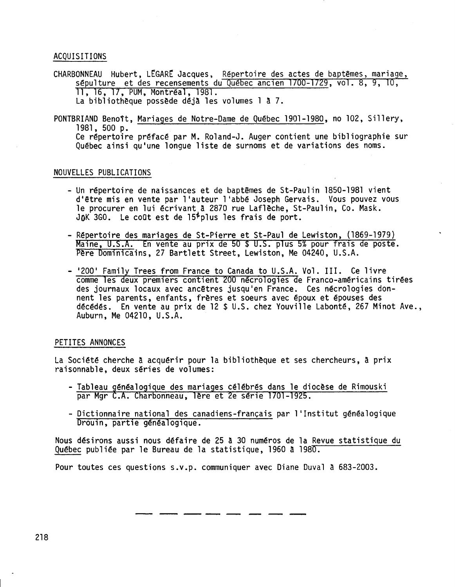#### ACQUISITIONS

- CHARBONNEAU Hubert, LEGARE Jacques, Répertoire des actes de baptêmes, mariage, sépulture et des recensements du Québec ancien 1700-1729, vol. 8, 9, 10, 11, 16, 17, PUM, Montréal, 1981. La bibliothèque possède déjà les volumes l à 7.
- PONTBRIAND Benoît, Mariages de Notre-Dame de Québec 1901-1980, no 102, Sillery, 1981,500 p. Ce répertoire préfacé par M. Roland-J. Auger contient une bibliographie sur Québec ainsi qu'une longue liste de surnoms et de variations des noms.

#### NOUVELLES PUBLICATIONS

- Un répertoire de naissances et de baptêmes de St-Paulin 1850-1981 vient d'être mis en vente par l'auteur l'abbé Joseph Gervais. Vous pouvez vous le procurer en lui écrivant a 2870 rue Laf1èche, St-Paulin, Co. Mask. JOK 3GO. Le coût est de  $15<sup>5</sup>$ plus les frais de port.
- Répertoire des mariages de St-Pierre et St-Paul de Lewiston, (1869-1979) Maine, U.S.A. En vente au prix de 50 \$ U.S. plus 5% pour frais de poste. Pere Dominicains, 27 Bartlett Street, Lewiston, Me 04240, U.S.A.
- '200' Family Trees from France to Canada to U.S.A. Vol. III. Ce livre commeles deux premiers contient 200 nécrologies de Franco-américains tirées des journaux locaux avec ancêtres jusqu'en France. Ces nécrologies donnent les parents, enfants, frères et soeurs avec époux et épouses des décédés. En vente au prix de 12 \$ U.S. chez Youville Labonté, 267 Minot Ave., Auburn, Me 04210, U.S.A.

#### PETITES ANNONCES

La Société cherche à acquérir pour la bibliothèque et ses chercheurs, à prix raisonnable, deux séries de volumes:

- Tableau généalogique des mariages célébrés dans le diocèse de Rimouski<br>par Mgr C.A. Charbonneau, 1ère et 2e série 1701-1925.
- Dictionnaire national des canadiens-français par l'Institut généalogique Drouin, partie généalogique.

Nous désirons aussi nous défaire de 25 à 30 numéros de la Revue statistique du Québec publiée par le Bureau de la statistique, 1960 à 1980.

Pour toutes ces questions s.V.p. communiquer avec Diane Duval à 683-2003.

**--------**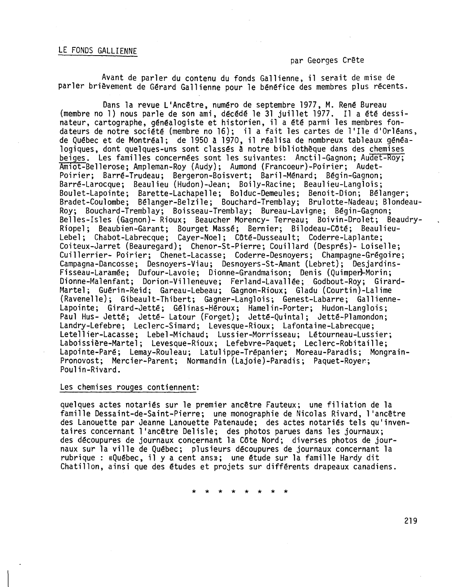#### LE FONDS GALLIENNE

#### par Georges Crête

Avant de parler du contenu du fonds Gallienne, il serait de mise de parler brièvement de Gérard Gallienne pour le bénéfice des membres plus récents.

Dans la revue L'Ancêtre, numéro de septembre 1977, M. René Bureau (membre no 1) nous parle de son ami, décédé le 31 juillet 1977. Il a été dessinateur, cartographe, généalogiste et historien, il a été parmi les membres fondateurs de notre société (membre no 16); il a fait les cartes de l'Ile d'Orléans, de Québec et de Montréal; de 1950 à 1970, il réalisa de nombreux tableaux généalogiques, dont quelques-uns sont classés à notre bibliothèque dans des chemises beiges. Les familles concernées sont les suivantes: Anctil-Gagnon; Audet-Roy; Amiot-Bellerose; Ampleman-Roy (Audy); Aumond (Francoeur)-Poirier; Audet-Poirier; Barré-Trudeau; Bergeron-Boisvert; Baril-Ménard; Bégin-Gagnon; Barré-Larocque; Beaulieu (Hudon)-Jean; Boily-Racine; Beaulieu-Langlois; Boulet-Lapointe; Barette-Lachapelle; Bolduc-Demeules; Benoit-Dion; Bélanger; Bradet-Coulombe; Bélanger-Belzile; Bouchard-Tremblay; Brulotte-Nadeau; Blondeau-Roy; Bouchard-Tremblay; Boisseau-Tremblay; Bureau-Lavigne; Bégin-Gagnon; Belles-Isles (Gagnon)- Rioux; Beaucher Morency- Terreau; Boivin-Drolet; Beaudry-Riopel; Beaubien-Garant; Bourget Massé; Bernier; Bilodeau-COté; Beaulieu-Lebel; Chabot-Labrecque; Cayer-Noel; COté-Dusseault; Coderre-Laplante; Coiteux-Jarret (Beauregard); Chenor-St-Pierre; Couil lard (Després)- Loiselle; Cuillerrier- Poirier; Chenet-Lacasse; Coderre-Desnoyers; Champagne-Grégoire; Campagna-Dancosse; Desnoyers-Viau; Desnoyers-St-Amant (Lebret); Desjardins-Fisseau-Laramée; Dufour-Lavoie; Dionne-Grandmaison; Denis (Quimper)-Morin; Dionne-Malenfant; Dorion-Villeneuve; Ferland-Lavallée; Godbout-Roy; Girard-Martel; Guérin-Reid; Gareau-Lebeau; Gagnon-Rioux; Gladu (Courtin)-Lal<sup>.</sup> (Ravenelle); Gibeault-Thibert; Gagner-Langlois; Genest-Labarre; Gallienne-Lapointe; Girard-Jetté; Gélinas-Héroux; Hamelin-Porter; Hudon-Langlois; Paul Hus- Jetté; Jetté- Latour (Forget); Jetté-Quintal; Jetté-Plamondon; Landry-Lefebre; Leclerc-Simard; Levesque-Rioux; Lafontaine-Labrecque; Letellier-Lacasse; Lebel-Michaud; Lussier-Morrisseau; Létourneau-Lussier; Laboissière-Martel; Levesque-Rioux; Lefebvre-Paquet; Leclerc-Robitaille; Lapointe-Paré; Lemay-Rouleau; Latulippe-Trépanier; Moreau-Paradis; Mongrainpronovost; Mercier-Parent; Normandin (Lajoie)-Paradis; Paquet-Royer.; Poulin-Rivard.

#### Les chemises rouges contiennent:

quelques actes notariés sur le premier ancêtre Fauteux; une filiation de la famille Dessaint-de-Saint-Pierre; une monographie de Nicolas Rivard, l'ancêtre des Lanouette par Jeanne Lanouette Patenaude; des actes notariés tels qu'inventaires concernant l'ancêtre Delisle; des photos parues dans les journaux; des découpures de journaux concernant la COte Nord; diverses photos de journaux sur la ville de Québec; plusieurs découpures de journaux concernant la rubrique: «Québec, il y a cent ans»; une étude sur la famille Hardy dit Chatillon, ainsi que des études et projets sur différents drapeaux canadiens.

\* \* \* \* \* \* \* \*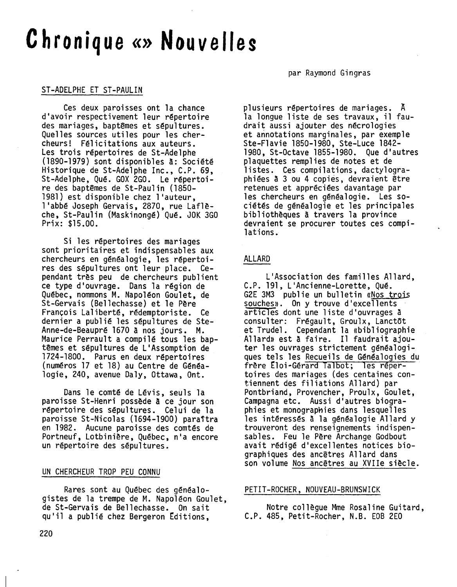## **Chronique«»Nouvelles**

#### ST-ADELPHE ET ST-PAULIN

Ces deux paroisses ont la chance d'avoir respectivement leur répertoire des mariages, baptêmes et sépultures. Quelles sources utiles pour les chercheurs! Félicitations aux auteurs. Les trois répertoires de St-Ade1phe (1890-1979) sont disponibles a: Société Historique de St-Ade1phe Inc., C.P. 69, St-Adelphe, Qué. GOX 2GO. Le répertoire des baptêmes de St-Pau1in (1850- 1981) est disponible chez l'auteur, l'abbé Joseph Gervais, 2870, rue Laf1èche, St-Pau1in (Maskinongé) Qué. JOK 3GO Prix: \$15.00.

Si les répertoires des mariages sont prioritaires et indispensables aux chercheurs en généalogie, les répertoires des sépultures ont leur place. Cependant très peu de chercheurs publient ce type d'ouvrage. Dans la région de Québec, nommons M. Napoléon Goulet, de St-Gervais (Be11echasse) et le Père François La1iberté, rédemptoriste. Ce dernier a publié les sépultures de Ste-Anne-de-Beaupré 1670 a nos jours. M. Maurice Perrault a compilé tous les baptêmes et sépultures de L'Assomption de 1724-1800. Parus en deux répertoires (numéros 17 et 18) au Centre de Généalogie, 240, avenue Da1y, Ottawa, Ont.

Dans le comté de Lévis, seuls la paroisse St-Henri possède a ce jour son répertoire des sépultures. Celui de la paroisse St-Nicolas (1694-1900) paraîtra en 1982. Aucune paroisse des comtés de Portneuf, Lotbinière, Québec, n'a encore un répertoire des sépultures.

#### UN CHERCHEUR TROP PEU CONNU

Rares sont au Québec des généalogistes de la trempe de M. Napoléon Goulet, de St-Gervais de Be11echasse. On sait qu'il a publié chez Bergeron Editions,

#### par Raymond Gingras

plusieurs répertoires de mariages. A la longue liste de ses travaux, il faudrait aussi ajouter des nécrologies et annotations marginales, par exemple Ste-F1avie 1850-1980, Ste-Luce 1842- 1980, St-Octave 1855-1980. Que d'autres plaquettes remplies de notes et de listes. Ces compilations, dactylographiées a 3 ou 4 copiés, devraient être retenues et appréciées davantage par les chercheurs en généalogie. Les sociétés de généalogie et les principales bibliothèques à travers la province devraient se procurer toutes ces compilations.

#### ALLARD

L'Association des familles A11ard, C.P. 191, L'Ancienne-Lorette, Qué. G2E 3M3 publie un bulletin «Nos trois souches». On y trouve d'excellents articles dont une liste d'ouvrages à consulter: Frégault, Groulx, Lanctôt et Trudel. Cependant la «bibliographie Al1ard» est à faire. Il faudrait ajouter les ouvrages strictement généalogiques tels les Recueils de Généalogies du frère tloi-Gérard Talbot; les répertoires des mariages (des centaines contiennent des filiations A1lard) par Pontbriand, Provencher, Proulx, Goulet, Campagna etc. Aussi d'autres biographies et monographies dans lesquelles les intéressés à la généalogie Al1ard y trouveront des renseignements indispensables. Feu le Père Archange Godbout avait rédigé d'excellentes notices biographiques des ancêtres Allard dans son volume Nos ancêtres au XVIIe siècle.

#### PETIT-ROCHER, NOUVEAU-BRUNSWICK

Notre collègue Mme Rosaline Guitard, C.P. 485, Petit-Rocher, N.B. EOB 2EO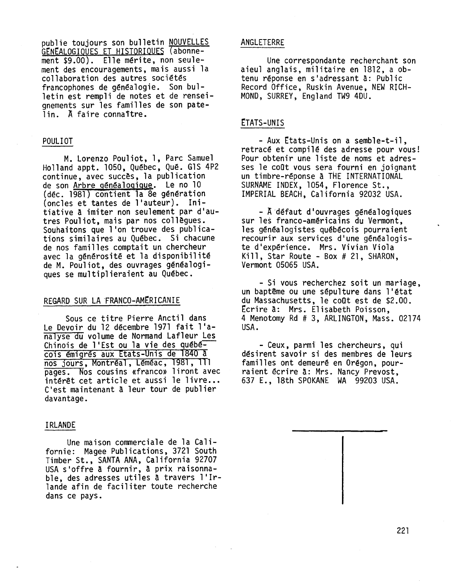publie toujours son bulletin NOUVELLES GENEALOGIQUES ET HISTORIQUES (abonnement \$9.00). Elle mérite, non seulement des encouragements, mais aussi la collaboration des autres sociétés francophones de généalogie. Son bulletin est rempli de notes et de renseignements sur les familles de son patelin. A faire connaTtre.

#### POULIOT

M. Lorenzo Pou1iot, l, Parc Samuel Hol1and appt. 1050, Québec, Qué. G1S4P2 continue, avec succès, la publication de son Arbre généalogique. Le no 10 (déc. 1981) contient la 8e génération (oncles et tantes de l'auteur). Initiative à imiter non seulement par d'autres Pou1iot, mais par nos collègues. Souhaitons que l'on trouve des publications similaires au Québec. Si chacune de nos familles comptait un chercheur avec la générosité et la disponibilité de M. Pou1iot, des ouvrages généalogiques se multiplieraient au Québec.

#### REGARD SUR LA FRANCO-AMERICANIE

Sous ce titre Pierre Ancti1 dans Le Devoir du 12 décembre 1971 fait l'analyse du volume de Normand Laf1eur Les Chinois de l'Est ou la vie des québécois émigrés aux Etats-Unis de 1840 à nos jours, Montréal, Léméac, 1981, 111 pages. Nos cousins «franco» liront avec intérêt cet article et aussi le livre... C'est maintenant à leur tour de publier davantage.

#### IRLANDE

Une maison commerciale de la Californie: Magee Publications, 3721 South Timber St., SANTA ANA, California 92707 USA s'offre à fournir, à prix raisonnable, des adresses utiles à travers l'Irlande afin de faciliter toute recherche dans ce pays.

#### ANGLETERRE

Une correspondante recherchant son aieul anglais, militaire en 1812, a obtenu réponse en s'adressant à: Public Record Office, Ruskin Avenue, NEW RICH-MOND, SURREY, England TW9 4DU.

#### ETATS-UNIS

- Aux Etats-Unis on a semble-t-il. retracé et compilé des adresse pour vous! Pour obtenir une liste de noms et adresses le coût vous sera fourni en joignant un timbre-réponse à THE INTERNATIONAL SURNAME INDEX, 1054, Florence St., IMPERIAL BEACH, California 92032 USA.

- A défaut d'ouvrages généalogiques sur les franco-américains du Vermont, les généalogistes québécois pourraient recourir aux services d'une généalogis- te d'expérience. Mrs. Vivian Viola Kill, Star Route - Box # 21, SHARON, Vermont 05065 USA.

- Si vous recherchez soit un mariage, un baptême ou une sépulture dans l'état du Massachusetts, le coOt est de \$2.00. tcrire à: Mrs. Elisabeth Poisson, 4 Menotomy Rd # 3, ARLINGTON, Mass. 02174 USA.

- Ceux, parmi les chercheurs, qui désirent savoir si des membresde leurs familles ont demeuré en Orégon, pourraient écrire à: Mrs. Nancy Prevost, 637 E., 18th SPOKANEWA 99203 USA.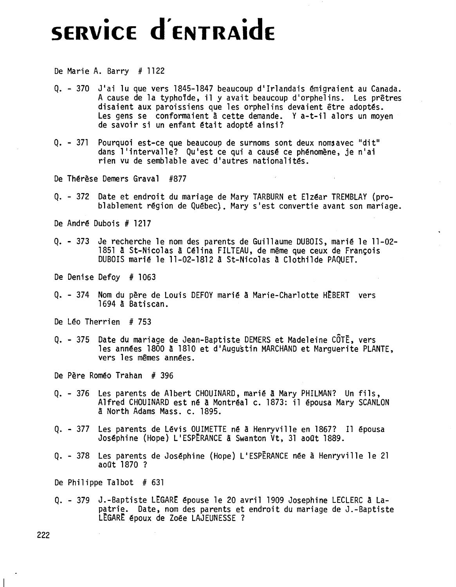# . **SERVICE d'ENTRAidE**

De Marie A. Barry  $# 1122$ 

- Q. <sup>370</sup> Jlai lu que vers 1845-1847 beaucoup d'Irlandais émigraient au Canada. A cause de la typho<sup>f</sup>de, il y avait beaucoup d'orphelins. Les prêtres disaient aux paroissiens que les orphelins devaient être adoptés. Les gens se conformaient à cette demande. Y a-t-il alors un moyen de savoir si un enfant était adopté ainsi?
- Q. 371 Pourquoi est-ce que beaucoup de surnoms sont deux noms avec "dit" dans l'intervalle? Qu'est ce qui a causé ce phénomène, je n'ai rien vu de semblable avec d'autres nationalités.

De Thérèse Demers Grava1 #877

Q. - 372 Date et endroit du mariage de Mary TARBURN et Elzéar TREMBLAY (prob1ab1ement région de Québec). Mary s'est convertie avant son mariage.

De André Dubois # 1217

Q. - 373 Je recherche le nom des parents de Guillaume DUBOIS,marié le 11-02- 1851 à St-Nicolas à Célina FILTEAU, de même que ceux de François DUBOISmarié le 11-02-1812 â St-Nico1as à Clothilde PAQUET.

De Denise Defoy # 1063

Q. - 374 Nom du père de Louis DEFOY marié à Marie-Charlotte HEBERT vers 1694 â Batiscan.

De Léo Therrien # 753

Q. - 375 Date du mariage de Jean-Baptiste DEMERSet Madeleine CÔTË, vers les années 1800 à 1810 et d'Augustin MARCHAND et Marguerite PLANTE, vers les mêmes années.

De Père Roméo Trahan # 396

- Q. 376 Les parents de Albert CHOUINARD, marié à Mary PHILMAN? Un fils, Alfred CHOUINARDest né à Montréal c. 1873: il épousa Mary SCANLON â North Adams Mass. c. 1895.
- Q. 377 Les parents de Lévis OUIMETTEné à Henryvi11e en 1867? Il épousa Joséphine (Hope) L'ESPËRANCEâ Swanton Vt, 31 août 1889.
- Q. 378 Les parents de Joséphine (Hope) L'ESPERANCE née à Henryville le 21<br>août 1870 ?

De Philippe Talbot # 631

Q. - 379 J.-Baptiste LtGARt épouse le 20 avril 1909 Josephine LECLERCà Lapatrie. Date, nom des parents et endroit du mariage de J.-Baptiste LEGARE époux de Zoée LAJEUNESSE ?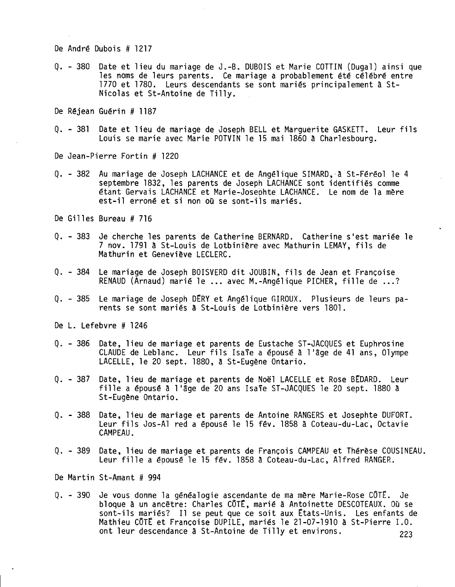De André Dubois # 1217

Q. - 380 Date et lieu du mariage de J.-B. DUBOISet Marie COTTIN (Dugal) ainsi que les noms de leurs parents. Ce mariage a probablement été célébré entre 1770 et 1780. Leurs descendants se sont mariés principalement à St-Nicolas et St-Antoine de Tilly.

De Réjean Guérin # 1187

Q. - <sup>381</sup> Date et lieu de mariage de Joseph BELL et Marguerite GASKETT. Leur fils Louis se marie avec Marie POTVIN le 15 mai 1860 à Charlesbourg.

De Jean-Pierre Fortin # 1220

- Q. 382 Au mariage de Joseph LACHANCEet de Angélique SIMARD,'à St-Féréol le 4 septembre 1832, les parents de Joseph LACHANCE sont identifiés comme étant Gervais LACHANCE et Marie-Josephte LACHANCE. Le nom de la mère est-il erroné et si non où se sont-ils mariés.
- De Gilles Bureau # 716
- Q. 383 Je cherche les parents de Catherine BERNARD.Catherine s'est mariée le 7 nov. 1791 A St-Louis de Lotbinière avec Mathurin LEMAY,fils de Mathurin et Geneviève LECLERC.
- Q. 384 Le mariage de Joseph BOISVERDdit JOUBIN, fils de Jean et Françoise RENAUD (Arnaud) marié le ... avec M.-Angélique PICHER, fille de ...?
- Q. 385 Le mariage de Joseph DERY et Angélique GIROUX. Plusieurs de leurs pa-<br>rents se sont mariés à St-Louis de Lotbinière vers 1801.

De L. Lefebvre # 1246

- Q. 386 Date, lieu de mariage et parents de Eustache ST-JACQUESet Euphrosine CLAUDE de Leblanc. Leur fils Isaïe a épousé à l'âge de 41 ans, Olympe LACELLE, le 20 sept. 1880, à St-Eugène Ontario.
- Q. 387 Date, lieu de mariage et parents de Noël LACELLE et Rose BEDARD. Leur fille a épousé à l'âge de 20 ans Isaïe ST-JACQUES le 20 sept. 1880 à St-Eugène Ontario.
- Q. 388 Date, lieu de mariage et parents de Antoine RANGERS et Josephte DUFORT. Leur fils Jos-Al red a épousé le 15 fév. 1858 à Coteau-du-Lac, Octavie CAMPEAU.
- Q. 389 Date, lieu de mariage et parents de François CAMPEAU et Thérèse COUSINEAU. Leur fille a épousé le 15 fév. 1858 à Coteau-du-Lac, Alfred RANGER.

De Martin St-Amant # 994

Q. - 390 Je vous donne la généalogie ascendante de ma mère Marie-Rose COTE. Je bloque à un ancêtre: Charles CÔTÉ, marié à Antoinette DESCOTEAUX. Où se sont-ils mariés? Il se peut que ce soit aux États-Unis. Les enfants de Mathieu CÔTÉ et Françoise DUPILE, mariés le 21-07-1910 à St-Pierre I.O. ont leur descendance à St-Antoine de Tilly et environs. 223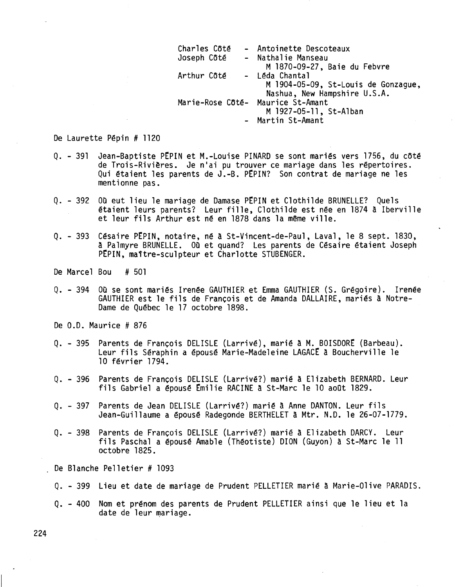| Charles Côté                      | - Antoinette Descoteaux             |
|-----------------------------------|-------------------------------------|
| Joseph Côté                       | - Nathalie Manseau                  |
|                                   | M 1870-09-27, Baie du Febvre        |
| Arthur Côté                       | - Léda Chantal                      |
|                                   | M 1904-05-09, St-Louis de Gonzague, |
|                                   | Nashua, New Hampshire U.S.A.        |
| Marie-Rose Côté- Maurice St-Amant |                                     |
|                                   | M 1927-05-11, St-Alban              |
|                                   | - Martin St-Amant                   |

De Laurette Pépin # 1120

- Q. 391 Jean-Baptiste PEPIN et M.-Louise PINARD se sont mariés vers 1756, du côté de Trois-Rivières. Je niai pu trouver ce mariage dans les répertoires. Qui étaient les parents de J.-B. PEPIN? Son contrat de mariage ne les mentionne pas.
- Q. 392 Où eut lieu le mariage de Damase PEPIN et Clothilde BRUNELLE? Quels étaient leurs parents? Leur fille, Clothilde est née en 1874 à Ibervi11e et leur fils Arthur est né en 1878 dans la même ville.
- Q. 393 Césaire PtPIN, notaire, né à St-Vincent-de-Pau1, Laval, le 8 sept. 1830, à Palmyre BRUNELLE. Où et quand? Les parents de Césaire étaient Joseph PEPIN, maître-sculpteur et Charlotte STUBENGER.

De Marcel Bou # 501

- Q. 394 Où se sont mariés Irenée GAUTHIER et Emma GAUTHIER (S. Grégoire). Irenée GAUTHIER est le fils de François et de Amanda DALLAIRE, mariés à Notre-Dame de Québec le 17 octobre 1898.
- De 0.0. Maurice # 876
- Q. 395 Parents de François DELISLE (Larrivé), marié à M. BOISDORE (Barbeau). Leur fils Séraphin a épousé Marie-Madeleine LAGACE à Boucherville le 10 février 1794.
- Q. 396 Parents de François DELISLE (Larrivé?) marié à Elizabeth BERNARD. Leur fils Gabriel a épousé Émilie RACINE à St-Marc le 10 août 1829.
- Q. 397 Parents de Jean DELISLE (Larrivé?) marié à Anne DANTON. Leur fils Jean-Guillaume a épousé Radegonde BERTHELET à Mtr. N.D. le 26-07-1779.
- Q. 398 Parents de François DELISLE (Larrivé?) marié à Elizabeth DARCY. Leur fils Pascha1 a épousé Amable (Théotiste) DION (Guyon) à St-Marc le 11 octobre 1825.

De Blanche Pelletier # 1093

- Q. 399 Lieu et date de mariage de Prudent PELLETIER marié à Marie-Olive PARADIS.
- Q. 400 Nom et prénom des parents de Prudent PELLETIER ainsi que le lieu et la date de leur mariage.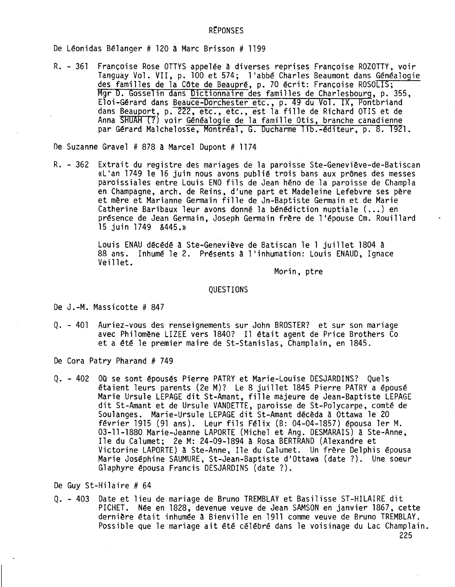#### **REPONSES**

De Léonidas Bélanger # 120 A Marc Brisson # 1199

R. - 361 Françoise Rose OTTYS appelée à diverses reprises Françoise ROZOTTY, voir Tanguay Vol. VII, p. 100 et 574; l'abbé Charles Beaumont dans Généalogie des familles de la Côte de Beaupré, p. 70 écrit: Françoise ROSOLIS; Mgr D. Gosselin dans Dictionnaire des familles de Char1esbourg, p. 355, Eloi-Gérard dans <u>Beauce-Dorchester e</u>tc., p. 49 du Vol. IX, Pontbrian dans Beauport, p. 222, etc., etc., est la fille de Richard OTIS et de Anna SHUAH (?) voir Généalogie de la famille Otis, branche canadienne par Gérard Malchelosse, Montréal, G. Ducharme lib.-éditeur, p. 8. 1921.

De Suzanne Gravel # 878 à Marcel Dupont # 1174

R. - 362 Extrait du registre des mariages de la paroisse Ste-Geneviève-de-Batis «L'an 1749 le 16 juin nous avons publié trois bans aux prônes des messes paroissiales entre Louis ENOfils de Jean héno de la paroisse de Champ1a en Champagne, arch. de Reins, d'une part et Madeleine Lefebvre ses père et mère et Marianne Germain fille de Jn-Baptiste Germain et de Marie Catherine Baribaux leur avons donné la bénédiction nuptiale (...) en présence de Jean Germain, Joseph Germain frère de l'épouse Cm. Roui11ard 15 juin 1749 &445.»

> Louis ENAU décédé à Ste-Geneviève de Batiscan le 1 juillet 1804 à 88 ans. Inhumé le 2. Présents à l'inhumation: Louis ENAUD, Ignace<br>Veillet.

> > Morin, ptre

#### QUESTIONS

De J.-M. Massicotte # 847

Q. - <sup>401</sup> Auriez-vous des renseignements sur John BROSTER?et sur son mariage avec Philomène LIZEE vers 1840? Il était agent de Price Brothers Co et a été le premier maire de St-Stanis1as, Champlain, en 1845.

De Cora Patry Pharand # 749

Q. - 402 Où se sont épousés Pierre PATRY et Marie-Louise DESJARDINS? Quels étaient leurs parents (2e M)? Le 8 juillet 1845 Pierre PATRY a épousé Marie Ursule LEPAGE dit St-Amant, fille majeure de Jean-Baptiste LEPAGE dit St-Amant et de Ursule VANDETTE,paroisse de St-Polycarpe, comté de Soulanges. Marie-Ursule LEPAGE dit St-Amant décèda à Ottawa le 20 février 1915 (91 ans). Leur fils Félix (B: 04-04-1857) épousa 1er M. 03-11-1880 Marie-Jeanne LAPORTE(Michel et Ang. DESMARAIS)à Ste-Anne, I1e du Calumet; 2e M: 24-09-1894 A Rosa BERTRAND(Alexandre et Victorine LAPORTE)à Ste-Anne, Ile du Calumet. Un frère De1phis épousa Marie Joséphine SAUMURE, St-Jean-Baptiste d'Ottawa (date ?). Une soeur G1aphyre épousa Francis DESJARDINS(date ?).

De Guy St-Hi1aire # 64

Q. - 403 Date et lieu de mariage de Bruno TREMBLAYet Basi1isse ST-HILAIREdit PICHET. Née en 1828, devenue veuve de Jean SAMSONen janvier 1867, cette dernière était inhumée à Bienville en 1911 comme veuve de Bruno TREMBLAY. Possible que le mariage ait été célébré dans le voisinage du Lac Champlain. 225